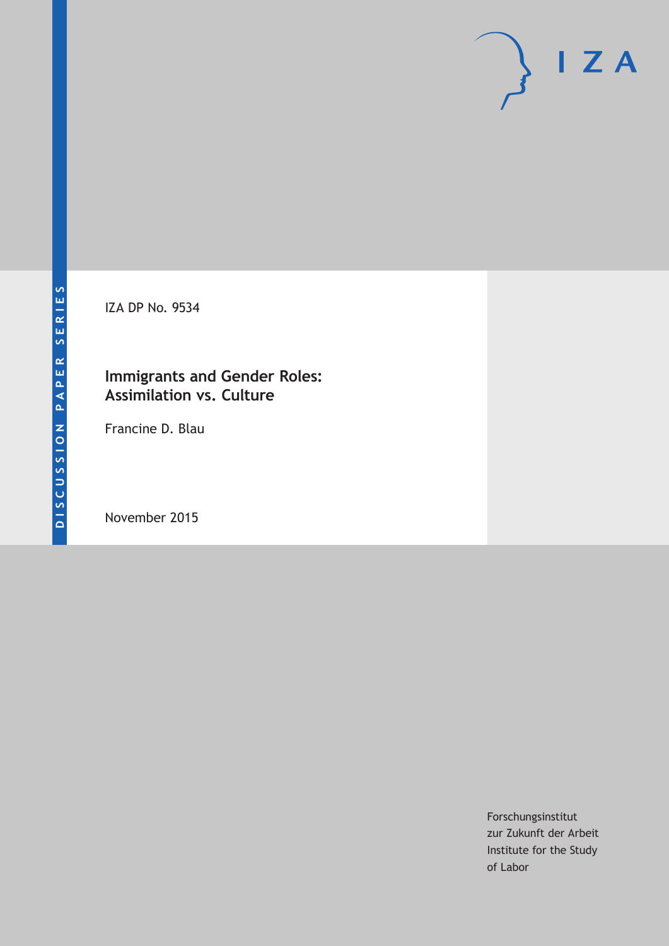IZA DP No. 9534

### **Immigrants and Gender Roles: Assimilation vs. Culture**

Francine D. Blau

November 2015

Forschungsinstitut zur Zukunft der Arbeit Institute for the Study of Labor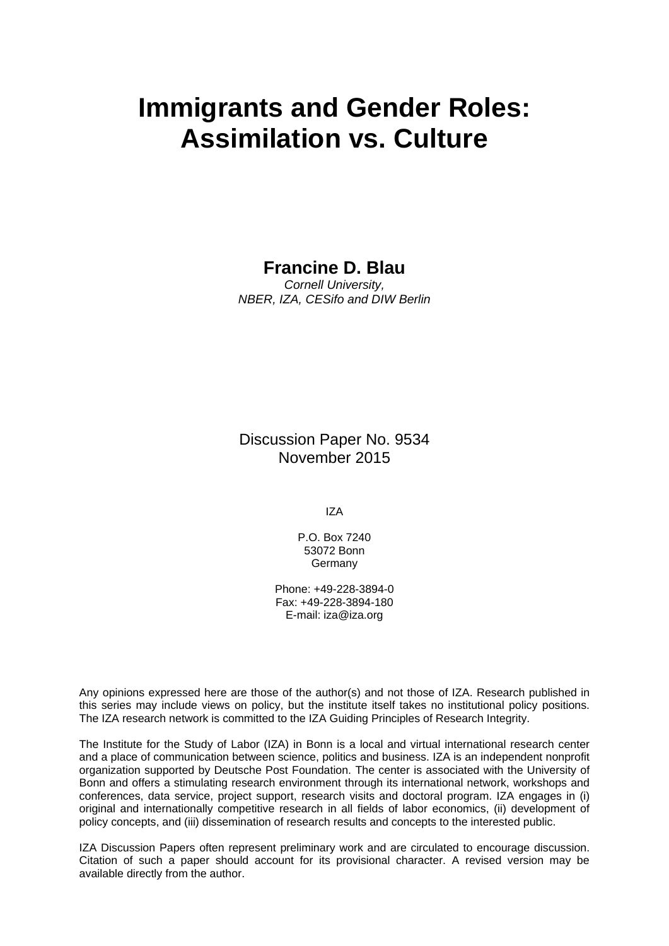# **Immigrants and Gender Roles: Assimilation vs. Culture**

## **Francine D. Blau**

*Cornell University, NBER, IZA, CESifo and DIW Berlin* 

### Discussion Paper No. 9534 November 2015

IZA

P.O. Box 7240 53072 Bonn Germany

Phone: +49-228-3894-0 Fax: +49-228-3894-180 E-mail: iza@iza.org

Any opinions expressed here are those of the author(s) and not those of IZA. Research published in this series may include views on policy, but the institute itself takes no institutional policy positions. The IZA research network is committed to the IZA Guiding Principles of Research Integrity.

The Institute for the Study of Labor (IZA) in Bonn is a local and virtual international research center and a place of communication between science, politics and business. IZA is an independent nonprofit organization supported by Deutsche Post Foundation. The center is associated with the University of Bonn and offers a stimulating research environment through its international network, workshops and conferences, data service, project support, research visits and doctoral program. IZA engages in (i) original and internationally competitive research in all fields of labor economics, (ii) development of policy concepts, and (iii) dissemination of research results and concepts to the interested public.

IZA Discussion Papers often represent preliminary work and are circulated to encourage discussion. Citation of such a paper should account for its provisional character. A revised version may be available directly from the author.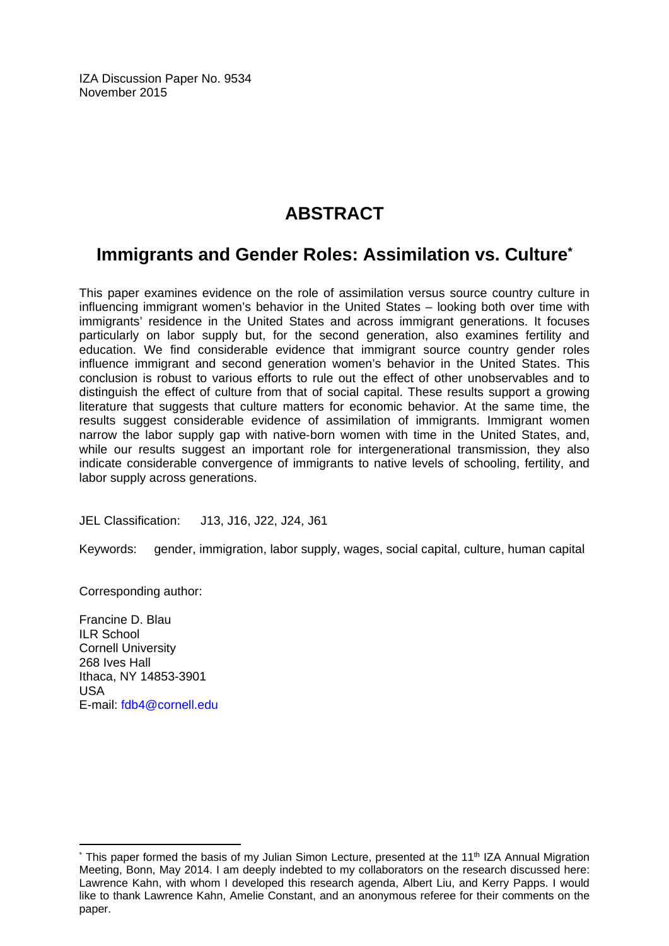IZA Discussion Paper No. 9534 November 2015

# **ABSTRACT**

# **Immigrants and Gender Roles: Assimilation vs. Culture\***

This paper examines evidence on the role of assimilation versus source country culture in influencing immigrant women's behavior in the United States – looking both over time with immigrants' residence in the United States and across immigrant generations. It focuses particularly on labor supply but, for the second generation, also examines fertility and education. We find considerable evidence that immigrant source country gender roles influence immigrant and second generation women's behavior in the United States. This conclusion is robust to various efforts to rule out the effect of other unobservables and to distinguish the effect of culture from that of social capital. These results support a growing literature that suggests that culture matters for economic behavior. At the same time, the results suggest considerable evidence of assimilation of immigrants. Immigrant women narrow the labor supply gap with native‐born women with time in the United States, and, while our results suggest an important role for intergenerational transmission, they also indicate considerable convergence of immigrants to native levels of schooling, fertility, and labor supply across generations.

JEL Classification: J13, J16, J22, J24, J61

Keywords: gender, immigration, labor supply, wages, social capital, culture, human capital

Corresponding author:

Francine D. Blau ILR School Cornell University 268 Ives Hall Ithaca, NY 14853-3901 USA E-mail: fdb4@cornell.edu

 $\overline{a}$ 

<sup>\*</sup> This paper formed the basis of my Julian Simon Lecture, presented at the 11<sup>th</sup> IZA Annual Migration Meeting, Bonn, May 2014. I am deeply indebted to my collaborators on the research discussed here: Lawrence Kahn, with whom I developed this research agenda, Albert Liu, and Kerry Papps. I would like to thank Lawrence Kahn, Amelie Constant, and an anonymous referee for their comments on the paper.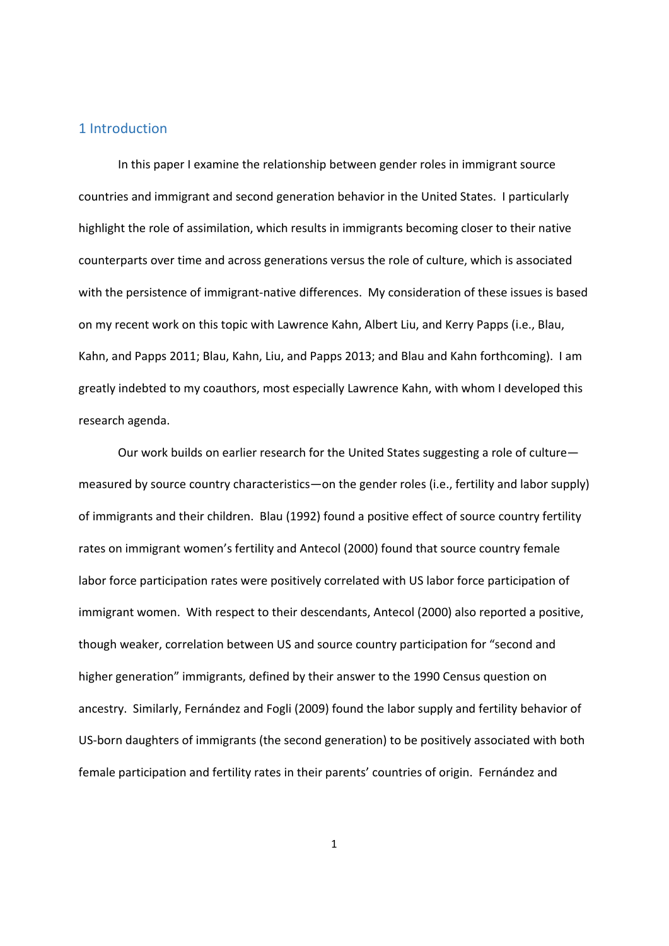#### 1 Introduction

In this paper I examine the relationship between gender roles in immigrant source countries and immigrant and second generation behavior in the United States. I particularly highlight the role of assimilation, which results in immigrants becoming closer to their native counterparts over time and across generations versus the role of culture, which is associated with the persistence of immigrant-native differences. My consideration of these issues is based on my recent work on this topic with Lawrence Kahn, Albert Liu, and Kerry Papps (i.e., Blau, Kahn, and Papps 2011; Blau, Kahn, Liu, and Papps 2013; and Blau and Kahn forthcoming). I am greatly indebted to my coauthors, most especially Lawrence Kahn, with whom I developed this research agenda.

Our work builds on earlier research for the United States suggesting a role of culture measured by source country characteristics—on the gender roles (i.e., fertility and labor supply) of immigrants and their children. Blau (1992) found a positive effect of source country fertility rates on immigrant women's fertility and Antecol (2000) found that source country female labor force participation rates were positively correlated with US labor force participation of immigrant women. With respect to their descendants, Antecol (2000) also reported a positive, though weaker, correlation between US and source country participation for "second and higher generation" immigrants, defined by their answer to the 1990 Census question on ancestry. Similarly, Fernández and Fogli (2009) found the labor supply and fertility behavior of US‐born daughters of immigrants (the second generation) to be positively associated with both female participation and fertility rates in their parents' countries of origin. Fernández and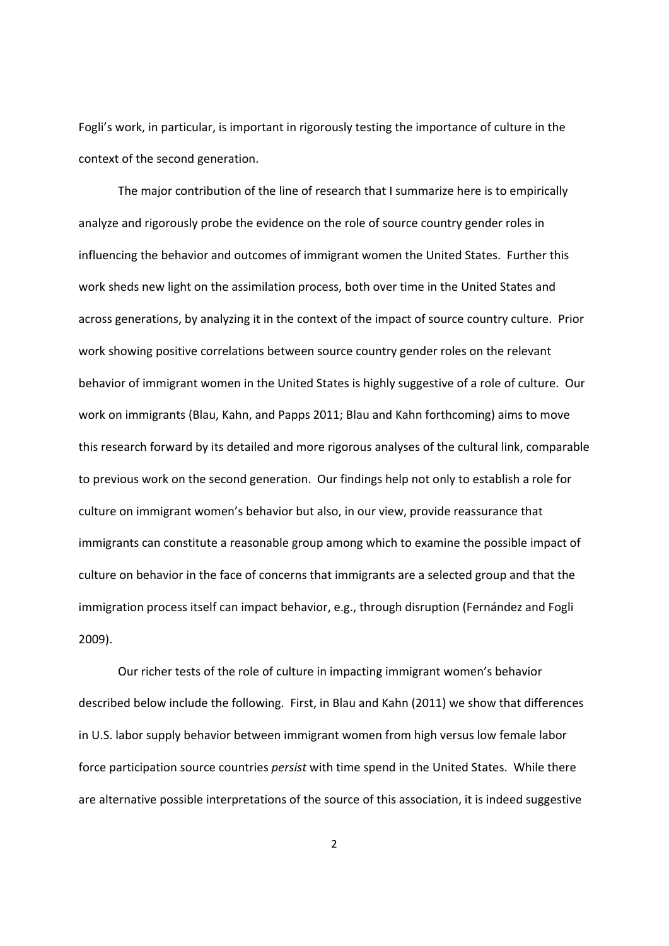Fogli's work, in particular, is important in rigorously testing the importance of culture in the context of the second generation.

The major contribution of the line of research that I summarize here is to empirically analyze and rigorously probe the evidence on the role of source country gender roles in influencing the behavior and outcomes of immigrant women the United States. Further this work sheds new light on the assimilation process, both over time in the United States and across generations, by analyzing it in the context of the impact of source country culture. Prior work showing positive correlations between source country gender roles on the relevant behavior of immigrant women in the United States is highly suggestive of a role of culture. Our work on immigrants (Blau, Kahn, and Papps 2011; Blau and Kahn forthcoming) aims to move this research forward by its detailed and more rigorous analyses of the cultural link, comparable to previous work on the second generation. Our findings help not only to establish a role for culture on immigrant women's behavior but also, in our view, provide reassurance that immigrants can constitute a reasonable group among which to examine the possible impact of culture on behavior in the face of concerns that immigrants are a selected group and that the immigration process itself can impact behavior, e.g., through disruption (Fernández and Fogli 2009).

Our richer tests of the role of culture in impacting immigrant women's behavior described below include the following. First, in Blau and Kahn (2011) we show that differences in U.S. labor supply behavior between immigrant women from high versus low female labor force participation source countries *persist* with time spend in the United States. While there are alternative possible interpretations of the source of this association, it is indeed suggestive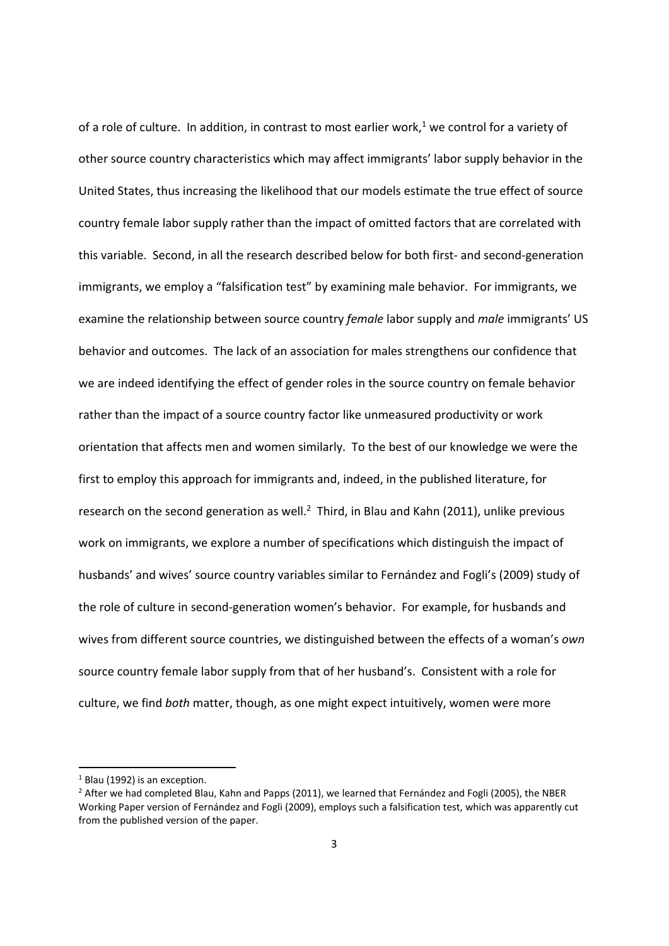of a role of culture. In addition, in contrast to most earlier work,<sup>1</sup> we control for a variety of other source country characteristics which may affect immigrants' labor supply behavior in the United States, thus increasing the likelihood that our models estimate the true effect of source country female labor supply rather than the impact of omitted factors that are correlated with this variable. Second, in all the research described below for both first‐ and second‐generation immigrants, we employ a "falsification test" by examining male behavior. For immigrants, we examine the relationship between source country *female* labor supply and *male* immigrants' US behavior and outcomes. The lack of an association for males strengthens our confidence that we are indeed identifying the effect of gender roles in the source country on female behavior rather than the impact of a source country factor like unmeasured productivity or work orientation that affects men and women similarly. To the best of our knowledge we were the first to employ this approach for immigrants and, indeed, in the published literature, for research on the second generation as well.<sup>2</sup> Third, in Blau and Kahn (2011), unlike previous work on immigrants, we explore a number of specifications which distinguish the impact of husbands' and wives' source country variables similar to Fernández and Fogli's (2009) study of the role of culture in second‐generation women's behavior. For example, for husbands and wives from different source countries, we distinguished between the effects of a woman's *own* source country female labor supply from that of her husband's. Consistent with a role for culture, we find *both* matter, though, as one might expect intuitively, women were more

 $1$  Blau (1992) is an exception.

<sup>&</sup>lt;sup>2</sup> After we had completed Blau, Kahn and Papps (2011), we learned that Fernández and Fogli (2005), the NBER Working Paper version of Fernández and Fogli (2009), employs such a falsification test, which was apparently cut from the published version of the paper.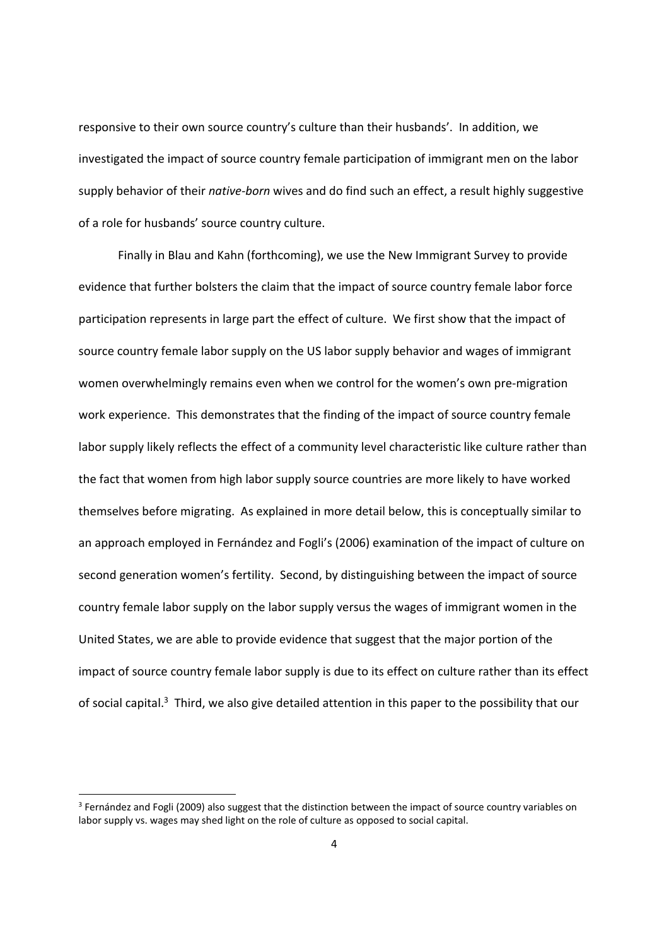responsive to their own source country's culture than their husbands'. In addition, we investigated the impact of source country female participation of immigrant men on the labor supply behavior of their *native‐born* wives and do find such an effect, a result highly suggestive of a role for husbands' source country culture.

Finally in Blau and Kahn (forthcoming), we use the New Immigrant Survey to provide evidence that further bolsters the claim that the impact of source country female labor force participation represents in large part the effect of culture. We first show that the impact of source country female labor supply on the US labor supply behavior and wages of immigrant women overwhelmingly remains even when we control for the women's own pre-migration work experience. This demonstrates that the finding of the impact of source country female labor supply likely reflects the effect of a community level characteristic like culture rather than the fact that women from high labor supply source countries are more likely to have worked themselves before migrating. As explained in more detail below, this is conceptually similar to an approach employed in Fernández and Fogli's (2006) examination of the impact of culture on second generation women's fertility. Second, by distinguishing between the impact of source country female labor supply on the labor supply versus the wages of immigrant women in the United States, we are able to provide evidence that suggest that the major portion of the impact of source country female labor supply is due to its effect on culture rather than its effect of social capital.<sup>3</sup> Third, we also give detailed attention in this paper to the possibility that our

<sup>&</sup>lt;sup>3</sup> Fernández and Fogli (2009) also suggest that the distinction between the impact of source country variables on labor supply vs. wages may shed light on the role of culture as opposed to social capital.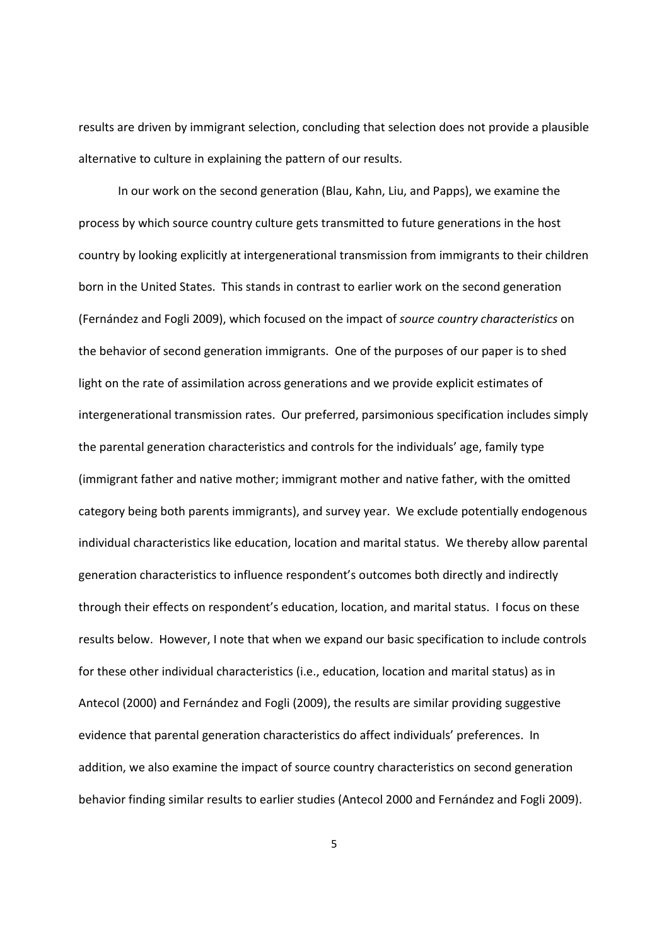results are driven by immigrant selection, concluding that selection does not provide a plausible alternative to culture in explaining the pattern of our results.

In our work on the second generation (Blau, Kahn, Liu, and Papps), we examine the process by which source country culture gets transmitted to future generations in the host country by looking explicitly at intergenerational transmission from immigrants to their children born in the United States. This stands in contrast to earlier work on the second generation (Fernández and Fogli 2009), which focused on the impact of *source country characteristics* on the behavior of second generation immigrants. One of the purposes of our paper is to shed light on the rate of assimilation across generations and we provide explicit estimates of intergenerational transmission rates. Our preferred, parsimonious specification includes simply the parental generation characteristics and controls for the individuals' age, family type (immigrant father and native mother; immigrant mother and native father, with the omitted category being both parents immigrants), and survey year. We exclude potentially endogenous individual characteristics like education, location and marital status. We thereby allow parental generation characteristics to influence respondent's outcomes both directly and indirectly through their effects on respondent's education, location, and marital status. I focus on these results below. However, I note that when we expand our basic specification to include controls for these other individual characteristics (i.e., education, location and marital status) as in Antecol (2000) and Fernández and Fogli (2009), the results are similar providing suggestive evidence that parental generation characteristics do affect individuals' preferences. In addition, we also examine the impact of source country characteristics on second generation behavior finding similar results to earlier studies (Antecol 2000 and Fernández and Fogli 2009).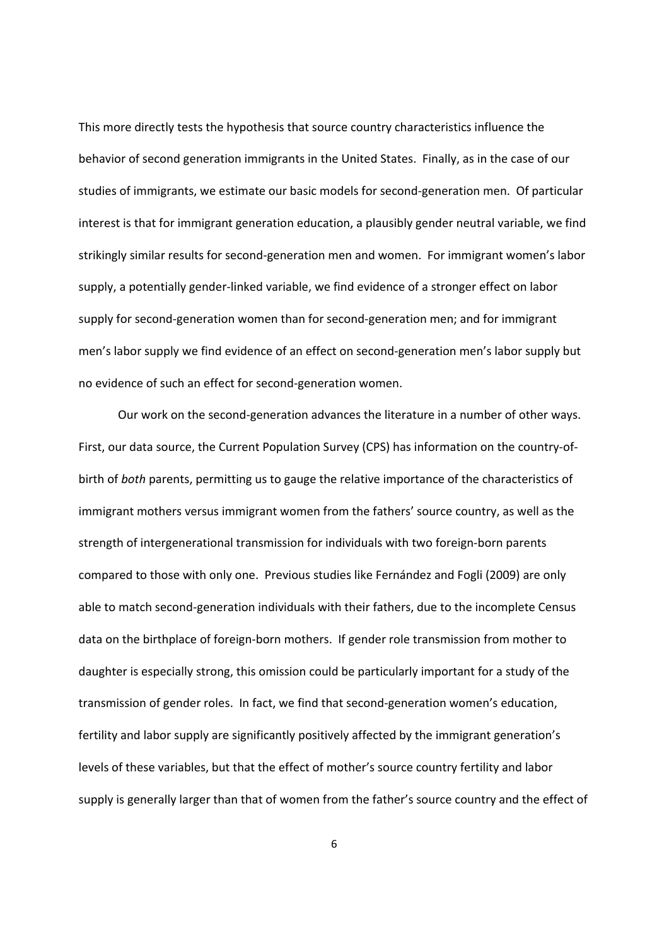This more directly tests the hypothesis that source country characteristics influence the behavior of second generation immigrants in the United States. Finally, as in the case of our studies of immigrants, we estimate our basic models for second‐generation men. Of particular interest is that for immigrant generation education, a plausibly gender neutral variable, we find strikingly similar results for second-generation men and women. For immigrant women's labor supply, a potentially gender‐linked variable, we find evidence of a stronger effect on labor supply for second-generation women than for second-generation men; and for immigrant men's labor supply we find evidence of an effect on second-generation men's labor supply but no evidence of such an effect for second‐generation women.

Our work on the second‐generation advances the literature in a number of other ways. First, our data source, the Current Population Survey (CPS) has information on the country‐of‐ birth of *both* parents, permitting us to gauge the relative importance of the characteristics of immigrant mothers versus immigrant women from the fathers' source country, as well as the strength of intergenerational transmission for individuals with two foreign‐born parents compared to those with only one. Previous studies like Fernández and Fogli (2009) are only able to match second‐generation individuals with their fathers, due to the incomplete Census data on the birthplace of foreign‐born mothers. If gender role transmission from mother to daughter is especially strong, this omission could be particularly important for a study of the transmission of gender roles. In fact, we find that second-generation women's education, fertility and labor supply are significantly positively affected by the immigrant generation's levels of these variables, but that the effect of mother's source country fertility and labor supply is generally larger than that of women from the father's source country and the effect of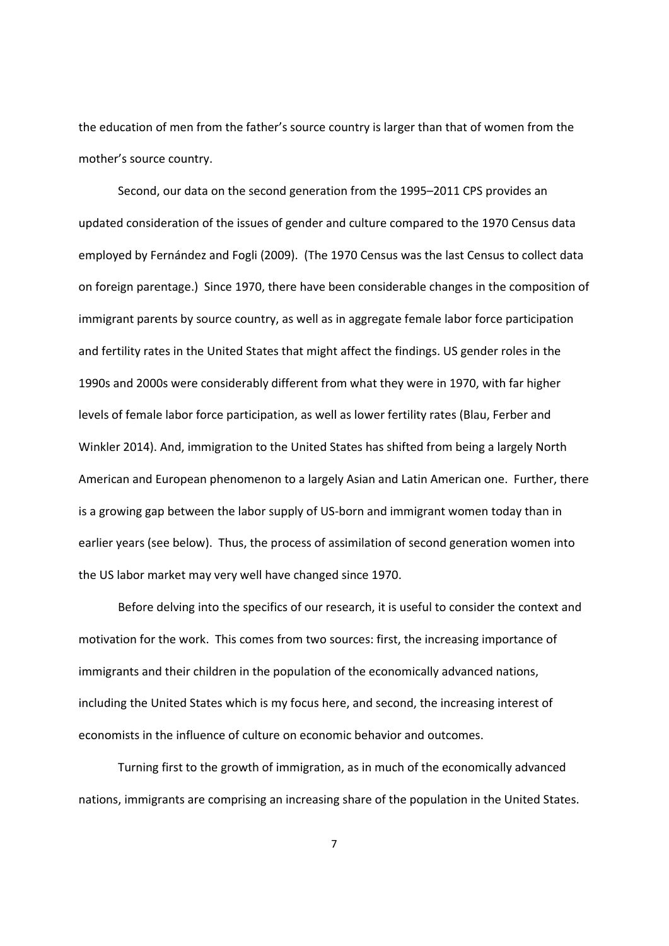the education of men from the father's source country is larger than that of women from the mother's source country.

Second, our data on the second generation from the 1995–2011 CPS provides an updated consideration of the issues of gender and culture compared to the 1970 Census data employed by Fernández and Fogli (2009). (The 1970 Census was the last Census to collect data on foreign parentage.) Since 1970, there have been considerable changes in the composition of immigrant parents by source country, as well as in aggregate female labor force participation and fertility rates in the United States that might affect the findings. US gender roles in the 1990s and 2000s were considerably different from what they were in 1970, with far higher levels of female labor force participation, as well as lower fertility rates (Blau, Ferber and Winkler 2014). And, immigration to the United States has shifted from being a largely North American and European phenomenon to a largely Asian and Latin American one. Further, there is a growing gap between the labor supply of US‐born and immigrant women today than in earlier years (see below). Thus, the process of assimilation of second generation women into the US labor market may very well have changed since 1970.

Before delving into the specifics of our research, it is useful to consider the context and motivation for the work. This comes from two sources: first, the increasing importance of immigrants and their children in the population of the economically advanced nations, including the United States which is my focus here, and second, the increasing interest of economists in the influence of culture on economic behavior and outcomes.

Turning first to the growth of immigration, as in much of the economically advanced nations, immigrants are comprising an increasing share of the population in the United States.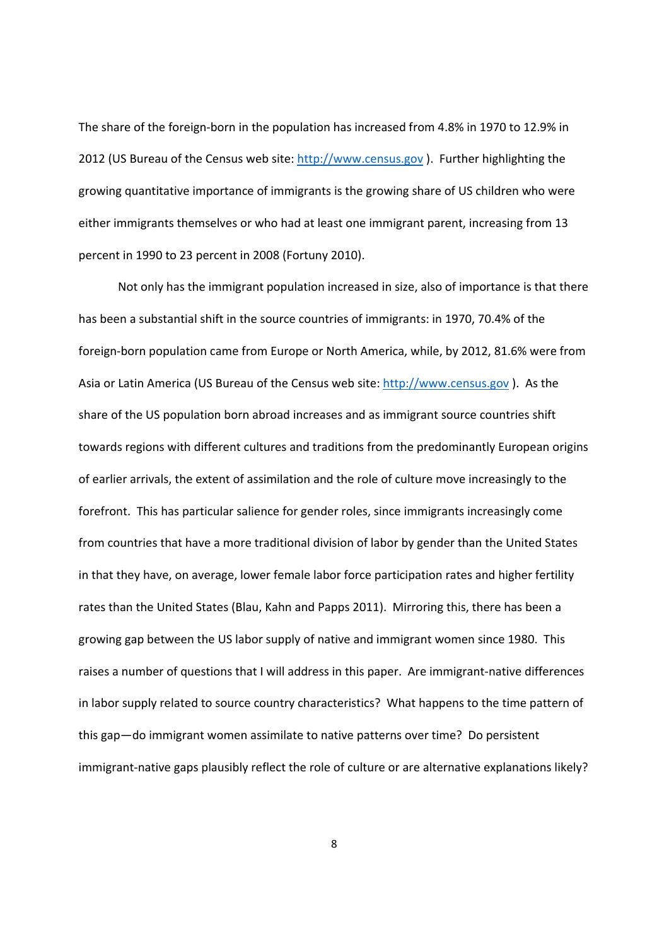The share of the foreign‐born in the population has increased from 4.8% in 1970 to 12.9% in 2012 (US Bureau of the Census web site: http://www.census.gov ). Further highlighting the growing quantitative importance of immigrants is the growing share of US children who were either immigrants themselves or who had at least one immigrant parent, increasing from 13 percent in 1990 to 23 percent in 2008 (Fortuny 2010).

Not only has the immigrant population increased in size, also of importance is that there has been a substantial shift in the source countries of immigrants: in 1970, 70.4% of the foreign‐born population came from Europe or North America, while, by 2012, 81.6% were from Asia or Latin America (US Bureau of the Census web site: http://www.census.gov ). As the share of the US population born abroad increases and as immigrant source countries shift towards regions with different cultures and traditions from the predominantly European origins of earlier arrivals, the extent of assimilation and the role of culture move increasingly to the forefront. This has particular salience for gender roles, since immigrants increasingly come from countries that have a more traditional division of labor by gender than the United States in that they have, on average, lower female labor force participation rates and higher fertility rates than the United States (Blau, Kahn and Papps 2011). Mirroring this, there has been a growing gap between the US labor supply of native and immigrant women since 1980. This raises a number of questions that I will address in this paper. Are immigrant‐native differences in labor supply related to source country characteristics? What happens to the time pattern of this gap—do immigrant women assimilate to native patterns over time? Do persistent immigrant-native gaps plausibly reflect the role of culture or are alternative explanations likely?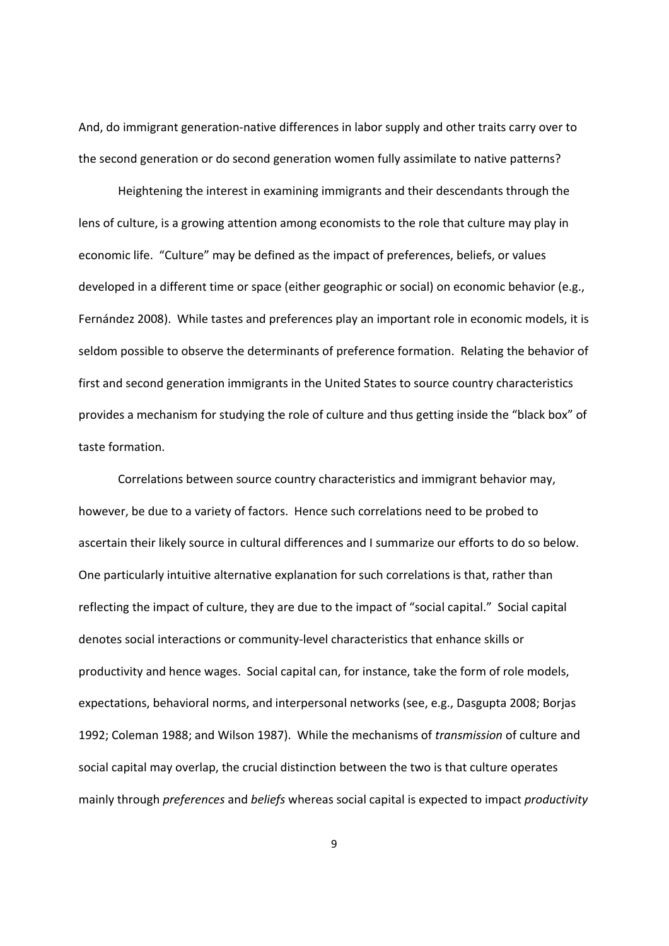And, do immigrant generation‐native differences in labor supply and other traits carry over to the second generation or do second generation women fully assimilate to native patterns?

Heightening the interest in examining immigrants and their descendants through the lens of culture, is a growing attention among economists to the role that culture may play in economic life. "Culture" may be defined as the impact of preferences, beliefs, or values developed in a different time or space (either geographic or social) on economic behavior (e.g., Fernández 2008). While tastes and preferences play an important role in economic models, it is seldom possible to observe the determinants of preference formation. Relating the behavior of first and second generation immigrants in the United States to source country characteristics provides a mechanism for studying the role of culture and thus getting inside the "black box" of taste formation.

Correlations between source country characteristics and immigrant behavior may, however, be due to a variety of factors. Hence such correlations need to be probed to ascertain their likely source in cultural differences and I summarize our efforts to do so below. One particularly intuitive alternative explanation for such correlations is that, rather than reflecting the impact of culture, they are due to the impact of "social capital." Social capital denotes social interactions or community‐level characteristics that enhance skills or productivity and hence wages. Social capital can, for instance, take the form of role models, expectations, behavioral norms, and interpersonal networks (see, e.g., Dasgupta 2008; Borjas 1992; Coleman 1988; and Wilson 1987). While the mechanisms of *transmission* of culture and social capital may overlap, the crucial distinction between the two is that culture operates mainly through *preferences* and *beliefs* whereas social capital is expected to impact *productivity*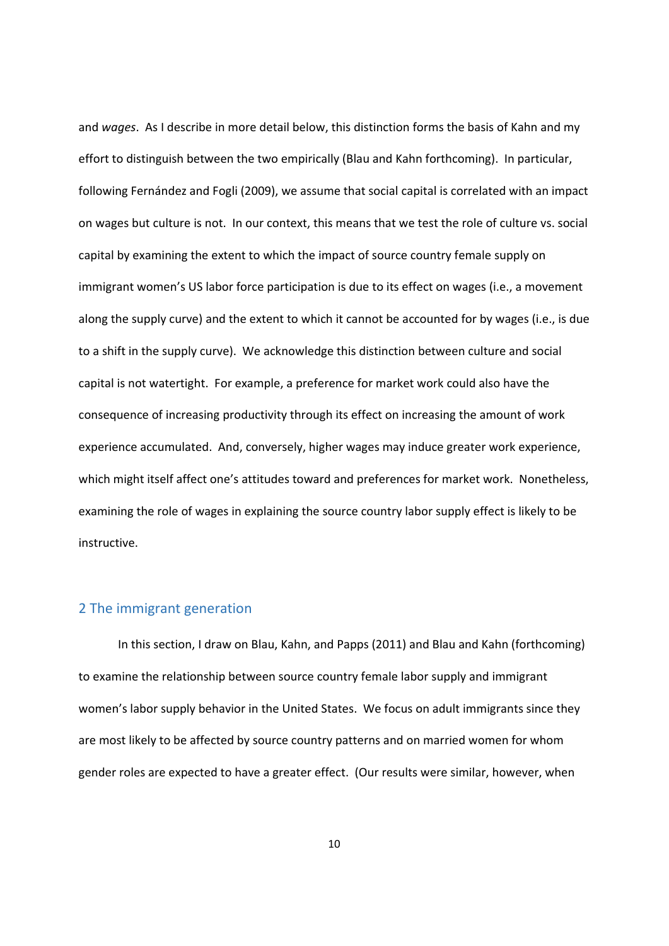and *wages*. As I describe in more detail below, this distinction forms the basis of Kahn and my effort to distinguish between the two empirically (Blau and Kahn forthcoming). In particular, following Fernández and Fogli (2009), we assume that social capital is correlated with an impact on wages but culture is not. In our context, this means that we test the role of culture vs. social capital by examining the extent to which the impact of source country female supply on immigrant women's US labor force participation is due to its effect on wages (i.e., a movement along the supply curve) and the extent to which it cannot be accounted for by wages (i.e., is due to a shift in the supply curve). We acknowledge this distinction between culture and social capital is not watertight. For example, a preference for market work could also have the consequence of increasing productivity through its effect on increasing the amount of work experience accumulated. And, conversely, higher wages may induce greater work experience, which might itself affect one's attitudes toward and preferences for market work. Nonetheless, examining the role of wages in explaining the source country labor supply effect is likely to be instructive.

#### 2 The immigrant generation

In this section, I draw on Blau, Kahn, and Papps (2011) and Blau and Kahn (forthcoming) to examine the relationship between source country female labor supply and immigrant women's labor supply behavior in the United States. We focus on adult immigrants since they are most likely to be affected by source country patterns and on married women for whom gender roles are expected to have a greater effect. (Our results were similar, however, when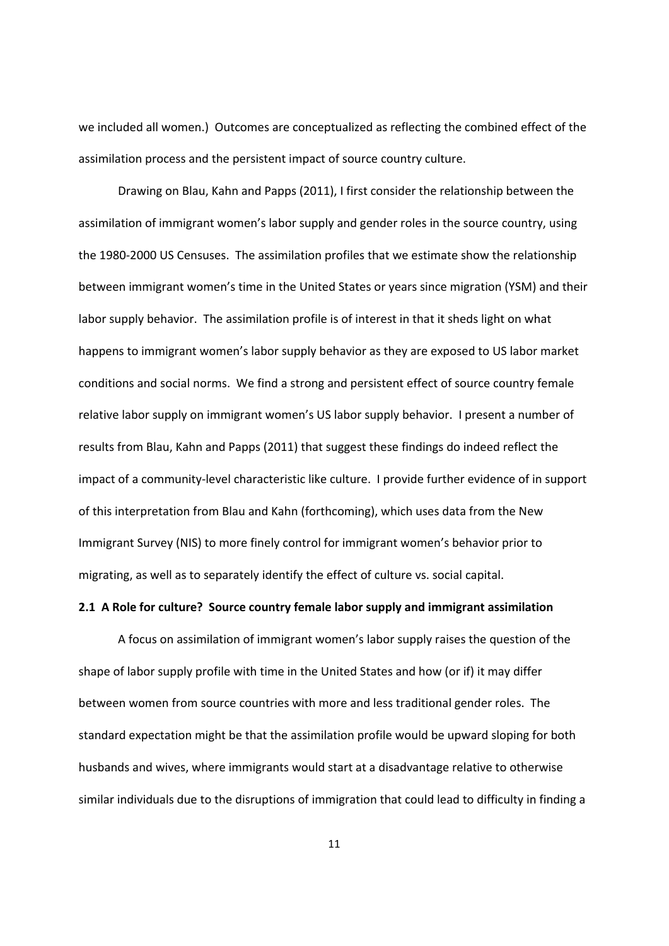we included all women.) Outcomes are conceptualized as reflecting the combined effect of the assimilation process and the persistent impact of source country culture.

Drawing on Blau, Kahn and Papps (2011), I first consider the relationship between the assimilation of immigrant women's labor supply and gender roles in the source country, using the 1980‐2000 US Censuses. The assimilation profiles that we estimate show the relationship between immigrant women's time in the United States or years since migration (YSM) and their labor supply behavior. The assimilation profile is of interest in that it sheds light on what happens to immigrant women's labor supply behavior as they are exposed to US labor market conditions and social norms. We find a strong and persistent effect of source country female relative labor supply on immigrant women's US labor supply behavior. I present a number of results from Blau, Kahn and Papps (2011) that suggest these findings do indeed reflect the impact of a community-level characteristic like culture. I provide further evidence of in support of this interpretation from Blau and Kahn (forthcoming), which uses data from the New Immigrant Survey (NIS) to more finely control for immigrant women's behavior prior to migrating, as well as to separately identify the effect of culture vs. social capital.

#### **2.1 A Role for culture? Source country female labor supply and immigrant assimilation**

A focus on assimilation of immigrant women's labor supply raises the question of the shape of labor supply profile with time in the United States and how (or if) it may differ between women from source countries with more and less traditional gender roles. The standard expectation might be that the assimilation profile would be upward sloping for both husbands and wives, where immigrants would start at a disadvantage relative to otherwise similar individuals due to the disruptions of immigration that could lead to difficulty in finding a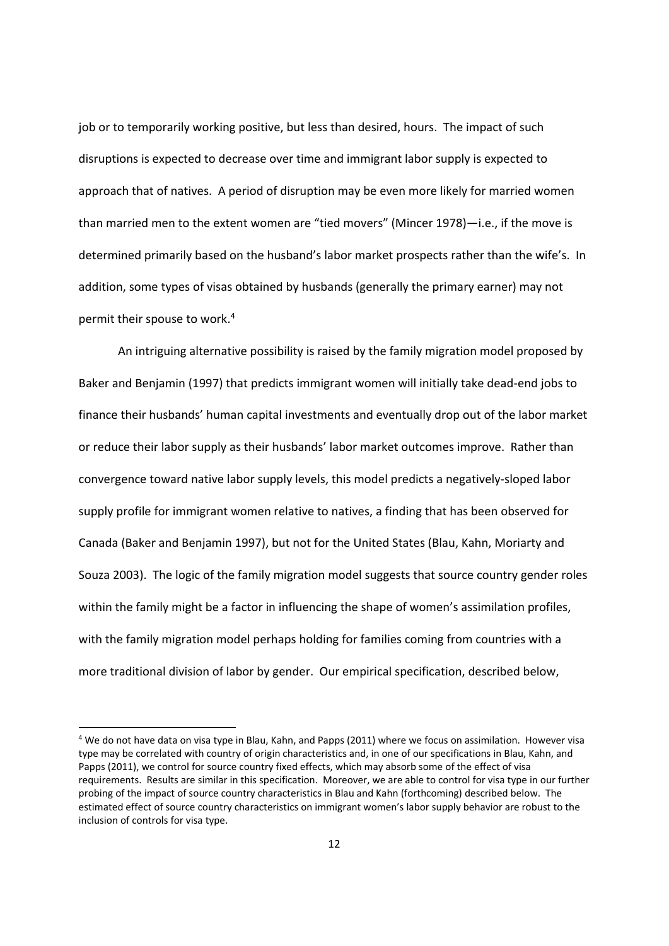job or to temporarily working positive, but less than desired, hours. The impact of such disruptions is expected to decrease over time and immigrant labor supply is expected to approach that of natives. A period of disruption may be even more likely for married women than married men to the extent women are "tied movers" (Mincer 1978)—i.e., if the move is determined primarily based on the husband's labor market prospects rather than the wife's. In addition, some types of visas obtained by husbands (generally the primary earner) may not permit their spouse to work.4

An intriguing alternative possibility is raised by the family migration model proposed by Baker and Benjamin (1997) that predicts immigrant women will initially take dead‐end jobs to finance their husbands' human capital investments and eventually drop out of the labor market or reduce their labor supply as their husbands' labor market outcomes improve. Rather than convergence toward native labor supply levels, this model predicts a negatively‐sloped labor supply profile for immigrant women relative to natives, a finding that has been observed for Canada (Baker and Benjamin 1997), but not for the United States (Blau, Kahn, Moriarty and Souza 2003). The logic of the family migration model suggests that source country gender roles within the family might be a factor in influencing the shape of women's assimilation profiles, with the family migration model perhaps holding for families coming from countries with a more traditional division of labor by gender. Our empirical specification, described below,

<sup>4</sup> We do not have data on visa type in Blau, Kahn, and Papps (2011) where we focus on assimilation. However visa type may be correlated with country of origin characteristics and, in one of our specifications in Blau, Kahn, and Papps (2011), we control for source country fixed effects, which may absorb some of the effect of visa requirements. Results are similar in this specification. Moreover, we are able to control for visa type in our further probing of the impact of source country characteristics in Blau and Kahn (forthcoming) described below. The estimated effect of source country characteristics on immigrant women's labor supply behavior are robust to the inclusion of controls for visa type.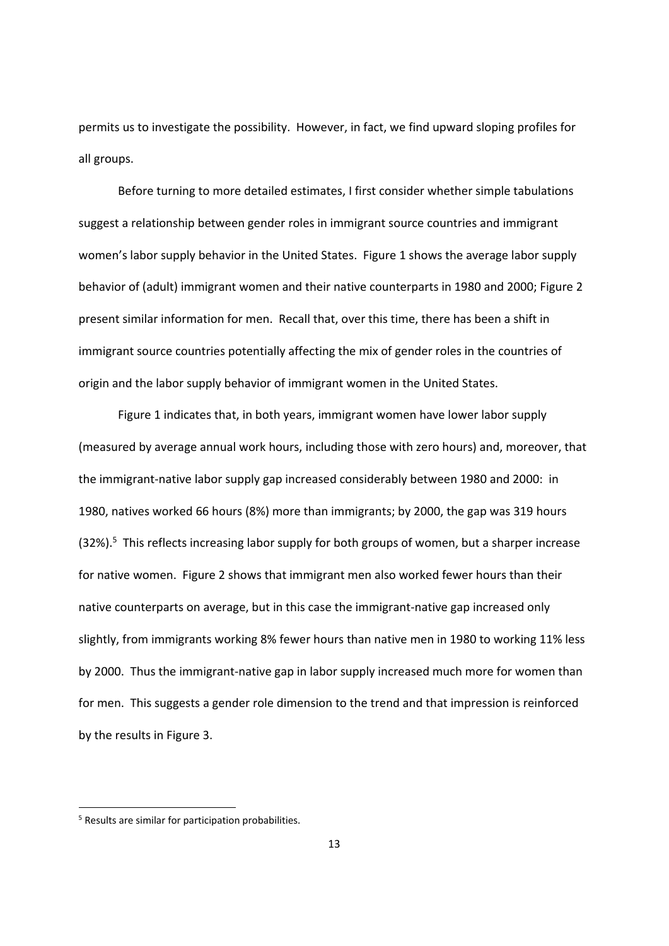permits us to investigate the possibility. However, in fact, we find upward sloping profiles for all groups.

Before turning to more detailed estimates, I first consider whether simple tabulations suggest a relationship between gender roles in immigrant source countries and immigrant women's labor supply behavior in the United States. Figure 1 shows the average labor supply behavior of (adult) immigrant women and their native counterparts in 1980 and 2000; Figure 2 present similar information for men. Recall that, over this time, there has been a shift in immigrant source countries potentially affecting the mix of gender roles in the countries of origin and the labor supply behavior of immigrant women in the United States.

Figure 1 indicates that, in both years, immigrant women have lower labor supply (measured by average annual work hours, including those with zero hours) and, moreover, that the immigrant‐native labor supply gap increased considerably between 1980 and 2000: in 1980, natives worked 66 hours (8%) more than immigrants; by 2000, the gap was 319 hours (32%).<sup>5</sup> This reflects increasing labor supply for both groups of women, but a sharper increase for native women. Figure 2 shows that immigrant men also worked fewer hours than their native counterparts on average, but in this case the immigrant‐native gap increased only slightly, from immigrants working 8% fewer hours than native men in 1980 to working 11% less by 2000. Thus the immigrant‐native gap in labor supply increased much more for women than for men. This suggests a gender role dimension to the trend and that impression is reinforced by the results in Figure 3.

<sup>5</sup> Results are similar for participation probabilities.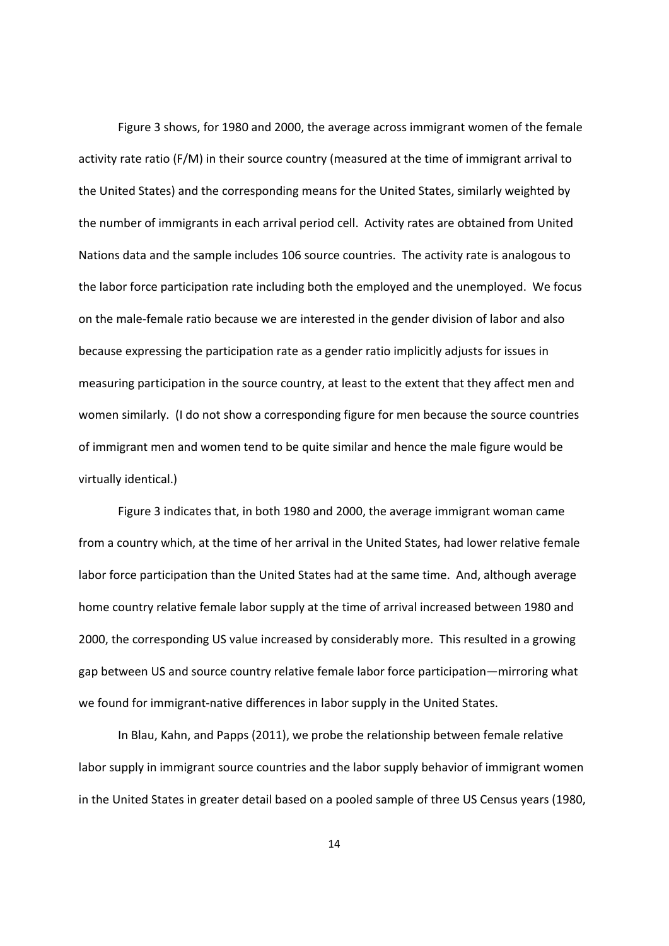Figure 3 shows, for 1980 and 2000, the average across immigrant women of the female activity rate ratio (F/M) in their source country (measured at the time of immigrant arrival to the United States) and the corresponding means for the United States, similarly weighted by the number of immigrants in each arrival period cell. Activity rates are obtained from United Nations data and the sample includes 106 source countries. The activity rate is analogous to the labor force participation rate including both the employed and the unemployed. We focus on the male‐female ratio because we are interested in the gender division of labor and also because expressing the participation rate as a gender ratio implicitly adjusts for issues in measuring participation in the source country, at least to the extent that they affect men and women similarly. (I do not show a corresponding figure for men because the source countries of immigrant men and women tend to be quite similar and hence the male figure would be virtually identical.)

Figure 3 indicates that, in both 1980 and 2000, the average immigrant woman came from a country which, at the time of her arrival in the United States, had lower relative female labor force participation than the United States had at the same time. And, although average home country relative female labor supply at the time of arrival increased between 1980 and 2000, the corresponding US value increased by considerably more. This resulted in a growing gap between US and source country relative female labor force participation—mirroring what we found for immigrant‐native differences in labor supply in the United States.

In Blau, Kahn, and Papps (2011), we probe the relationship between female relative labor supply in immigrant source countries and the labor supply behavior of immigrant women in the United States in greater detail based on a pooled sample of three US Census years (1980,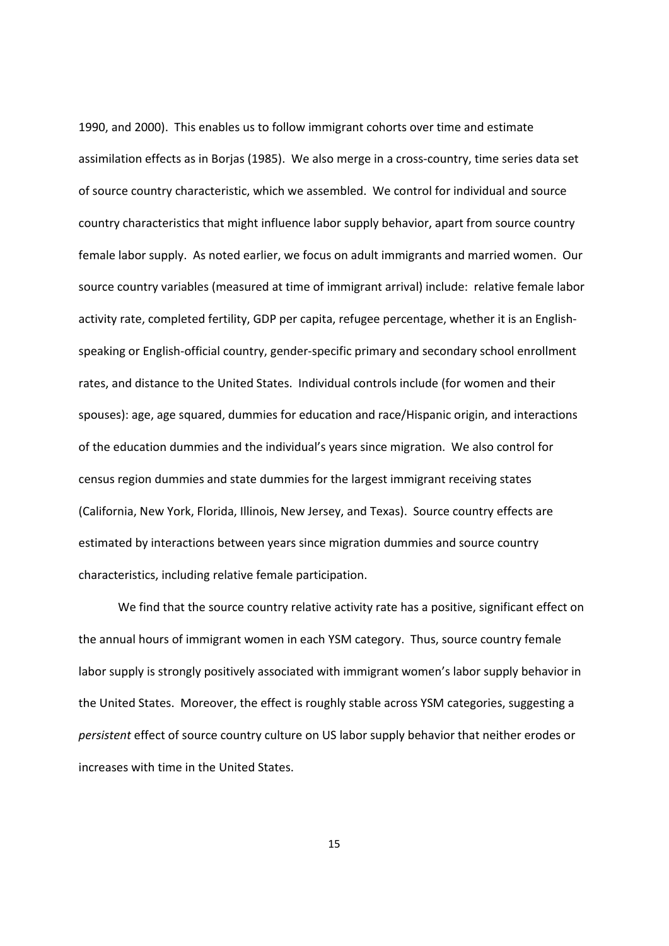1990, and 2000). This enables us to follow immigrant cohorts over time and estimate assimilation effects as in Borjas (1985). We also merge in a cross-country, time series data set of source country characteristic, which we assembled. We control for individual and source country characteristics that might influence labor supply behavior, apart from source country female labor supply. As noted earlier, we focus on adult immigrants and married women. Our source country variables (measured at time of immigrant arrival) include: relative female labor activity rate, completed fertility, GDP per capita, refugee percentage, whether it is an English‐ speaking or English-official country, gender-specific primary and secondary school enrollment rates, and distance to the United States. Individual controls include (for women and their spouses): age, age squared, dummies for education and race/Hispanic origin, and interactions of the education dummies and the individual's years since migration. We also control for census region dummies and state dummies for the largest immigrant receiving states (California, New York, Florida, Illinois, New Jersey, and Texas). Source country effects are estimated by interactions between years since migration dummies and source country characteristics, including relative female participation.

We find that the source country relative activity rate has a positive, significant effect on the annual hours of immigrant women in each YSM category. Thus, source country female labor supply is strongly positively associated with immigrant women's labor supply behavior in the United States. Moreover, the effect is roughly stable across YSM categories, suggesting a *persistent* effect of source country culture on US labor supply behavior that neither erodes or increases with time in the United States.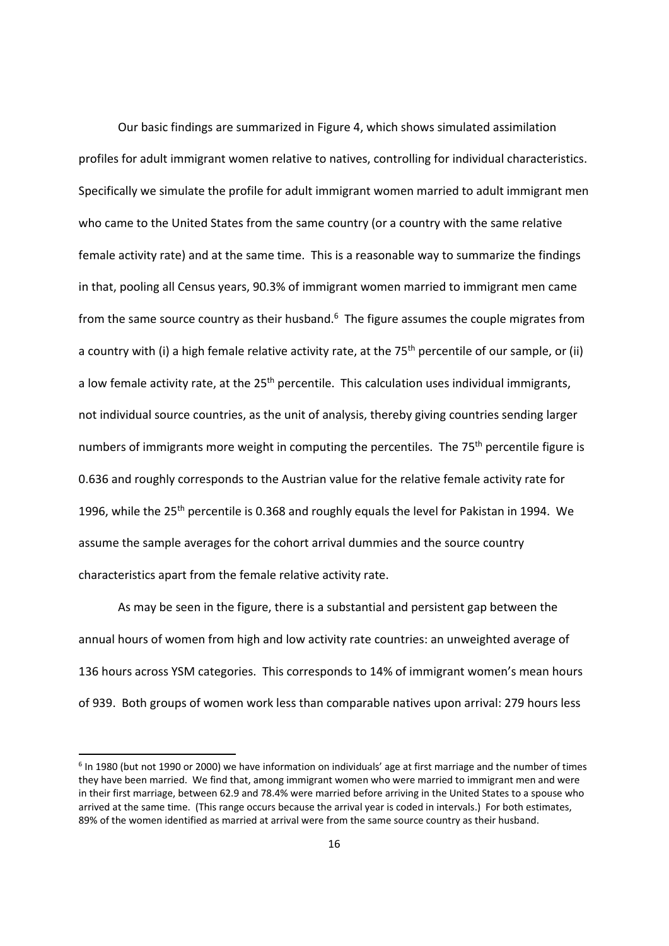Our basic findings are summarized in Figure 4, which shows simulated assimilation profiles for adult immigrant women relative to natives, controlling for individual characteristics. Specifically we simulate the profile for adult immigrant women married to adult immigrant men who came to the United States from the same country (or a country with the same relative female activity rate) and at the same time. This is a reasonable way to summarize the findings in that, pooling all Census years, 90.3% of immigrant women married to immigrant men came from the same source country as their husband.<sup>6</sup> The figure assumes the couple migrates from a country with (i) a high female relative activity rate, at the 75<sup>th</sup> percentile of our sample, or (ii) a low female activity rate, at the 25<sup>th</sup> percentile. This calculation uses individual immigrants, not individual source countries, as the unit of analysis, thereby giving countries sending larger numbers of immigrants more weight in computing the percentiles. The 75<sup>th</sup> percentile figure is 0.636 and roughly corresponds to the Austrian value for the relative female activity rate for 1996, while the 25th percentile is 0.368 and roughly equals the level for Pakistan in 1994. We assume the sample averages for the cohort arrival dummies and the source country characteristics apart from the female relative activity rate.

As may be seen in the figure, there is a substantial and persistent gap between the annual hours of women from high and low activity rate countries: an unweighted average of 136 hours across YSM categories. This corresponds to 14% of immigrant women's mean hours of 939. Both groups of women work less than comparable natives upon arrival: 279 hours less

<sup>&</sup>lt;sup>6</sup> In 1980 (but not 1990 or 2000) we have information on individuals' age at first marriage and the number of times they have been married. We find that, among immigrant women who were married to immigrant men and were in their first marriage, between 62.9 and 78.4% were married before arriving in the United States to a spouse who arrived at the same time. (This range occurs because the arrival year is coded in intervals.) For both estimates, 89% of the women identified as married at arrival were from the same source country as their husband.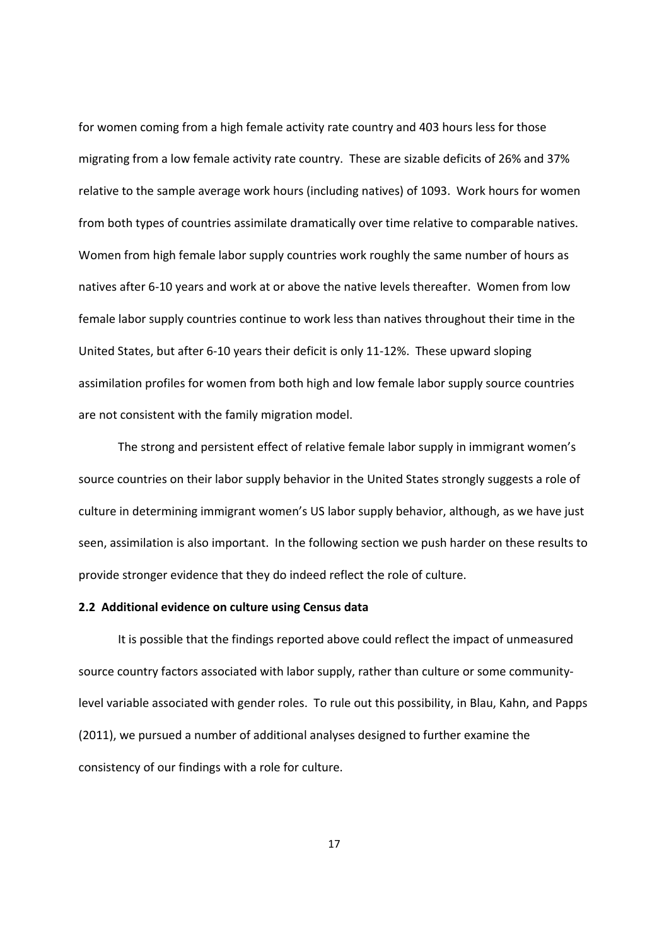for women coming from a high female activity rate country and 403 hours less for those migrating from a low female activity rate country. These are sizable deficits of 26% and 37% relative to the sample average work hours (including natives) of 1093. Work hours for women from both types of countries assimilate dramatically over time relative to comparable natives. Women from high female labor supply countries work roughly the same number of hours as natives after 6‐10 years and work at or above the native levels thereafter. Women from low female labor supply countries continue to work less than natives throughout their time in the United States, but after 6‐10 years their deficit is only 11‐12%. These upward sloping assimilation profiles for women from both high and low female labor supply source countries are not consistent with the family migration model.

The strong and persistent effect of relative female labor supply in immigrant women's source countries on their labor supply behavior in the United States strongly suggests a role of culture in determining immigrant women's US labor supply behavior, although, as we have just seen, assimilation is also important. In the following section we push harder on these results to provide stronger evidence that they do indeed reflect the role of culture.

#### **2.2 Additional evidence on culture using Census data**

It is possible that the findings reported above could reflect the impact of unmeasured source country factors associated with labor supply, rather than culture or some communitylevel variable associated with gender roles. To rule out this possibility, in Blau, Kahn, and Papps (2011), we pursued a number of additional analyses designed to further examine the consistency of our findings with a role for culture.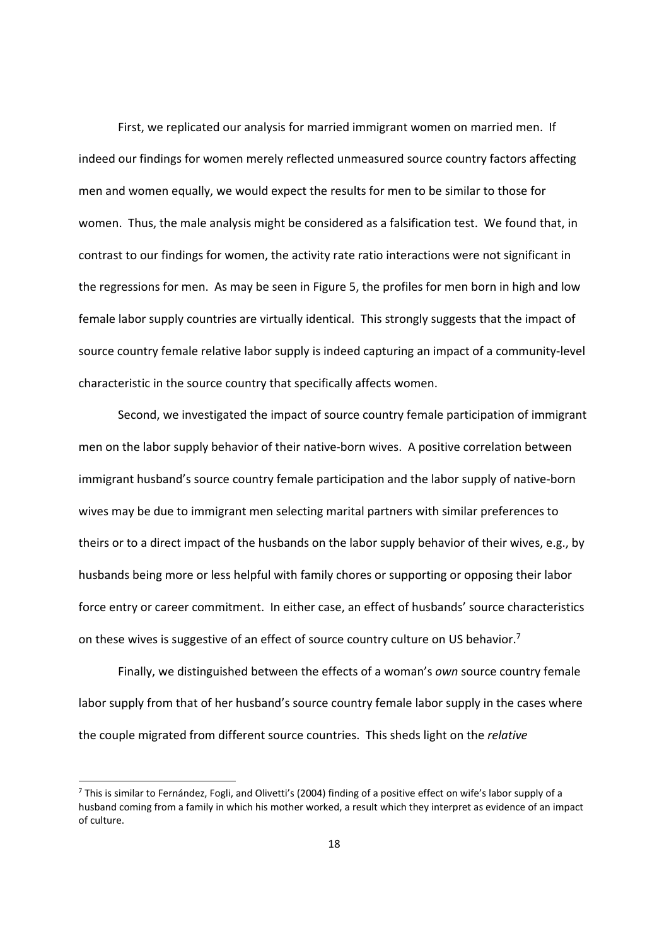First, we replicated our analysis for married immigrant women on married men. If indeed our findings for women merely reflected unmeasured source country factors affecting men and women equally, we would expect the results for men to be similar to those for women. Thus, the male analysis might be considered as a falsification test. We found that, in contrast to our findings for women, the activity rate ratio interactions were not significant in the regressions for men. As may be seen in Figure 5, the profiles for men born in high and low female labor supply countries are virtually identical. This strongly suggests that the impact of source country female relative labor supply is indeed capturing an impact of a community-level characteristic in the source country that specifically affects women.

Second, we investigated the impact of source country female participation of immigrant men on the labor supply behavior of their native-born wives. A positive correlation between immigrant husband's source country female participation and the labor supply of native-born wives may be due to immigrant men selecting marital partners with similar preferences to theirs or to a direct impact of the husbands on the labor supply behavior of their wives, e.g., by husbands being more or less helpful with family chores or supporting or opposing their labor force entry or career commitment. In either case, an effect of husbands' source characteristics on these wives is suggestive of an effect of source country culture on US behavior.7

Finally, we distinguished between the effects of a woman's *own* source country female labor supply from that of her husband's source country female labor supply in the cases where the couple migrated from different source countries. This sheds light on the *relative*

 $^7$  This is similar to Fernández, Fogli, and Olivetti's (2004) finding of a positive effect on wife's labor supply of a husband coming from a family in which his mother worked, a result which they interpret as evidence of an impact of culture.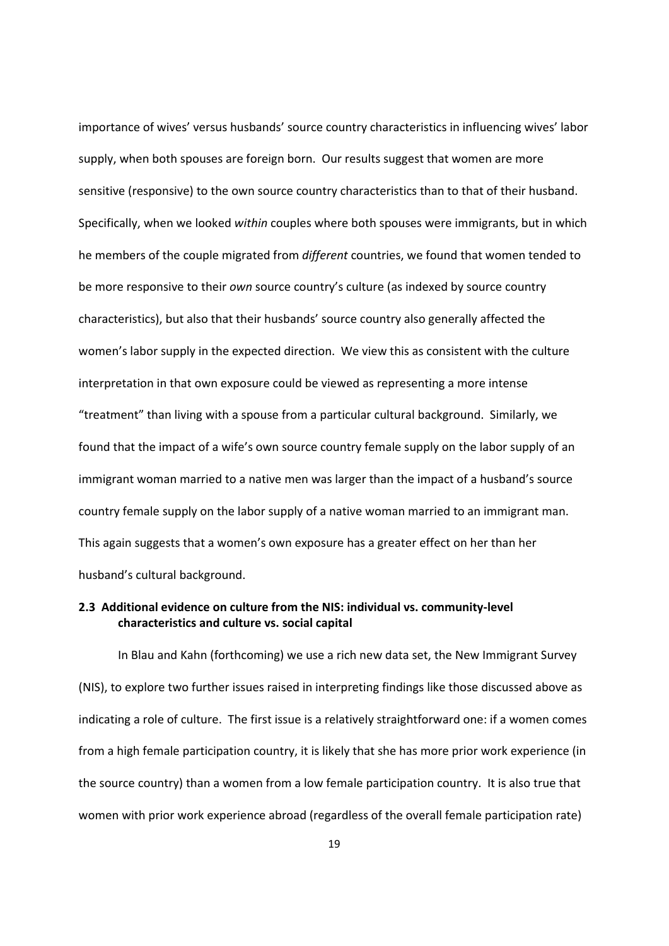importance of wives' versus husbands' source country characteristics in influencing wives' labor supply, when both spouses are foreign born. Our results suggest that women are more sensitive (responsive) to the own source country characteristics than to that of their husband. Specifically, when we looked *within* couples where both spouses were immigrants, but in which he members of the couple migrated from *different* countries, we found that women tended to be more responsive to their *own* source country's culture (as indexed by source country characteristics), but also that their husbands' source country also generally affected the women's labor supply in the expected direction. We view this as consistent with the culture interpretation in that own exposure could be viewed as representing a more intense "treatment" than living with a spouse from a particular cultural background. Similarly, we found that the impact of a wife's own source country female supply on the labor supply of an immigrant woman married to a native men was larger than the impact of a husband's source country female supply on the labor supply of a native woman married to an immigrant man. This again suggests that a women's own exposure has a greater effect on her than her husband's cultural background.

#### **2.3 Additional evidence on culture from the NIS: individual vs. community‐level characteristics and culture vs. social capital**

In Blau and Kahn (forthcoming) we use a rich new data set, the New Immigrant Survey (NIS), to explore two further issues raised in interpreting findings like those discussed above as indicating a role of culture. The first issue is a relatively straightforward one: if a women comes from a high female participation country, it is likely that she has more prior work experience (in the source country) than a women from a low female participation country. It is also true that women with prior work experience abroad (regardless of the overall female participation rate)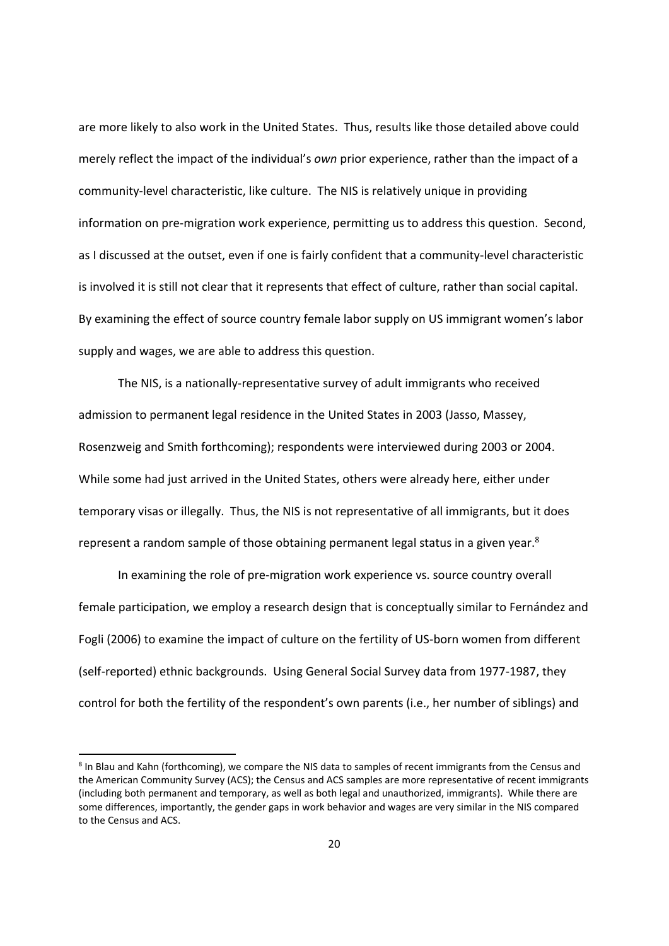are more likely to also work in the United States. Thus, results like those detailed above could merely reflect the impact of the individual's *own* prior experience, rather than the impact of a community‐level characteristic, like culture. The NIS is relatively unique in providing information on pre-migration work experience, permitting us to address this question. Second, as I discussed at the outset, even if one is fairly confident that a community-level characteristic is involved it is still not clear that it represents that effect of culture, rather than social capital. By examining the effect of source country female labor supply on US immigrant women's labor supply and wages, we are able to address this question.

The NIS, is a nationally‐representative survey of adult immigrants who received admission to permanent legal residence in the United States in 2003 (Jasso, Massey, Rosenzweig and Smith forthcoming); respondents were interviewed during 2003 or 2004. While some had just arrived in the United States, others were already here, either under temporary visas or illegally. Thus, the NIS is not representative of all immigrants, but it does represent a random sample of those obtaining permanent legal status in a given year.<sup>8</sup>

In examining the role of pre‐migration work experience vs. source country overall female participation, we employ a research design that is conceptually similar to Fernández and Fogli (2006) to examine the impact of culture on the fertility of US‐born women from different (self‐reported) ethnic backgrounds. Using General Social Survey data from 1977‐1987, they control for both the fertility of the respondent's own parents (i.e., her number of siblings) and

<sup>&</sup>lt;sup>8</sup> In Blau and Kahn (forthcoming), we compare the NIS data to samples of recent immigrants from the Census and the American Community Survey (ACS); the Census and ACS samples are more representative of recent immigrants (including both permanent and temporary, as well as both legal and unauthorized, immigrants). While there are some differences, importantly, the gender gaps in work behavior and wages are very similar in the NIS compared to the Census and ACS.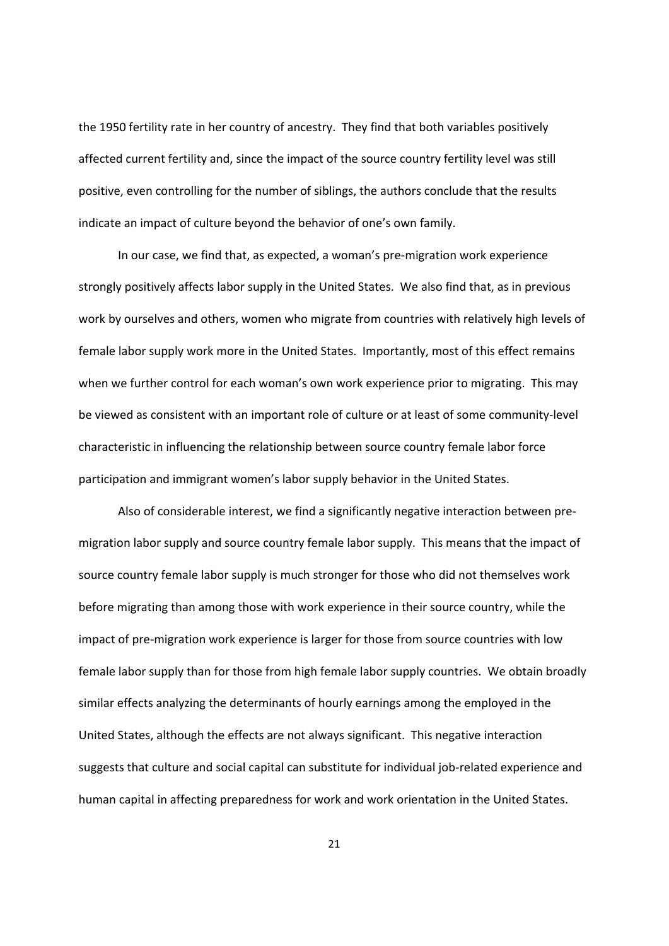the 1950 fertility rate in her country of ancestry. They find that both variables positively affected current fertility and, since the impact of the source country fertility level was still positive, even controlling for the number of siblings, the authors conclude that the results indicate an impact of culture beyond the behavior of one's own family.

In our case, we find that, as expected, a woman's pre‐migration work experience strongly positively affects labor supply in the United States. We also find that, as in previous work by ourselves and others, women who migrate from countries with relatively high levels of female labor supply work more in the United States. Importantly, most of this effect remains when we further control for each woman's own work experience prior to migrating. This may be viewed as consistent with an important role of culture or at least of some community‐level characteristic in influencing the relationship between source country female labor force participation and immigrant women's labor supply behavior in the United States.

Also of considerable interest, we find a significantly negative interaction between pre‐ migration labor supply and source country female labor supply. This means that the impact of source country female labor supply is much stronger for those who did not themselves work before migrating than among those with work experience in their source country, while the impact of pre-migration work experience is larger for those from source countries with low female labor supply than for those from high female labor supply countries. We obtain broadly similar effects analyzing the determinants of hourly earnings among the employed in the United States, although the effects are not always significant. This negative interaction suggests that culture and social capital can substitute for individual job-related experience and human capital in affecting preparedness for work and work orientation in the United States.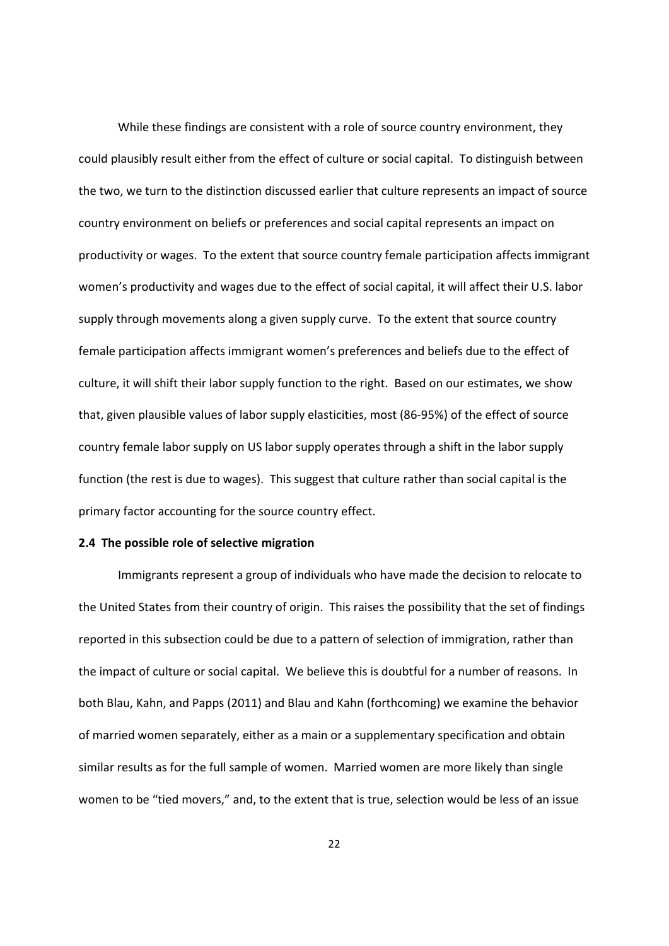While these findings are consistent with a role of source country environment, they could plausibly result either from the effect of culture or social capital. To distinguish between the two, we turn to the distinction discussed earlier that culture represents an impact of source country environment on beliefs or preferences and social capital represents an impact on productivity or wages. To the extent that source country female participation affects immigrant women's productivity and wages due to the effect of social capital, it will affect their U.S. labor supply through movements along a given supply curve. To the extent that source country female participation affects immigrant women's preferences and beliefs due to the effect of culture, it will shift their labor supply function to the right. Based on our estimates, we show that, given plausible values of labor supply elasticities, most (86‐95%) of the effect of source country female labor supply on US labor supply operates through a shift in the labor supply function (the rest is due to wages). This suggest that culture rather than social capital is the primary factor accounting for the source country effect.

#### **2.4 The possible role of selective migration**

Immigrants represent a group of individuals who have made the decision to relocate to the United States from their country of origin. This raises the possibility that the set of findings reported in this subsection could be due to a pattern of selection of immigration, rather than the impact of culture or social capital. We believe this is doubtful for a number of reasons. In both Blau, Kahn, and Papps (2011) and Blau and Kahn (forthcoming) we examine the behavior of married women separately, either as a main or a supplementary specification and obtain similar results as for the full sample of women. Married women are more likely than single women to be "tied movers," and, to the extent that is true, selection would be less of an issue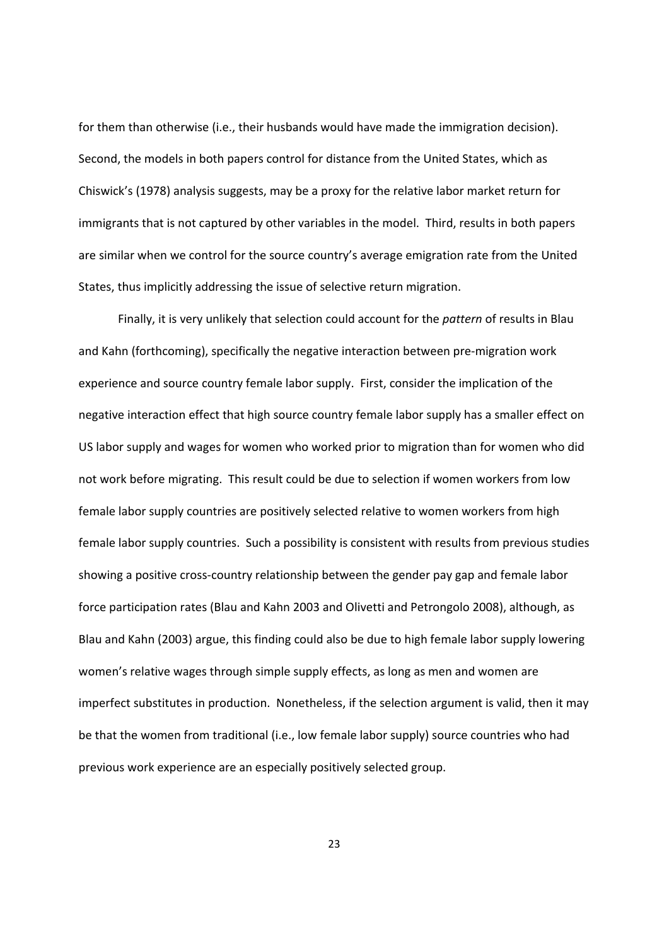for them than otherwise (i.e., their husbands would have made the immigration decision). Second, the models in both papers control for distance from the United States, which as Chiswick's (1978) analysis suggests, may be a proxy for the relative labor market return for immigrants that is not captured by other variables in the model. Third, results in both papers are similar when we control for the source country's average emigration rate from the United States, thus implicitly addressing the issue of selective return migration.

Finally, it is very unlikely that selection could account for the *pattern* of results in Blau and Kahn (forthcoming), specifically the negative interaction between pre‐migration work experience and source country female labor supply. First, consider the implication of the negative interaction effect that high source country female labor supply has a smaller effect on US labor supply and wages for women who worked prior to migration than for women who did not work before migrating. This result could be due to selection if women workers from low female labor supply countries are positively selected relative to women workers from high female labor supply countries. Such a possibility is consistent with results from previous studies showing a positive cross-country relationship between the gender pay gap and female labor force participation rates (Blau and Kahn 2003 and Olivetti and Petrongolo 2008), although, as Blau and Kahn (2003) argue, this finding could also be due to high female labor supply lowering women's relative wages through simple supply effects, as long as men and women are imperfect substitutes in production. Nonetheless, if the selection argument is valid, then it may be that the women from traditional (i.e., low female labor supply) source countries who had previous work experience are an especially positively selected group.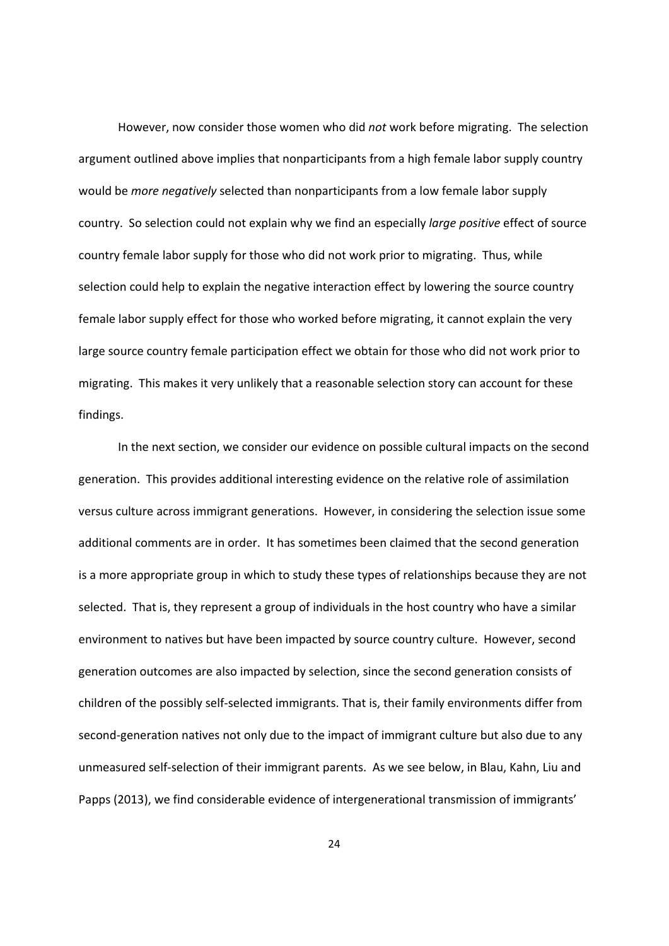However, now consider those women who did *not* work before migrating. The selection argument outlined above implies that nonparticipants from a high female labor supply country would be *more negatively* selected than nonparticipants from a low female labor supply country. So selection could not explain why we find an especially *large positive* effect of source country female labor supply for those who did not work prior to migrating. Thus, while selection could help to explain the negative interaction effect by lowering the source country female labor supply effect for those who worked before migrating, it cannot explain the very large source country female participation effect we obtain for those who did not work prior to migrating. This makes it very unlikely that a reasonable selection story can account for these findings.

In the next section, we consider our evidence on possible cultural impacts on the second generation. This provides additional interesting evidence on the relative role of assimilation versus culture across immigrant generations. However, in considering the selection issue some additional comments are in order. It has sometimes been claimed that the second generation is a more appropriate group in which to study these types of relationships because they are not selected. That is, they represent a group of individuals in the host country who have a similar environment to natives but have been impacted by source country culture. However, second generation outcomes are also impacted by selection, since the second generation consists of children of the possibly self‐selected immigrants. That is, their family environments differ from second-generation natives not only due to the impact of immigrant culture but also due to any unmeasured self‐selection of their immigrant parents. As we see below, in Blau, Kahn, Liu and Papps (2013), we find considerable evidence of intergenerational transmission of immigrants'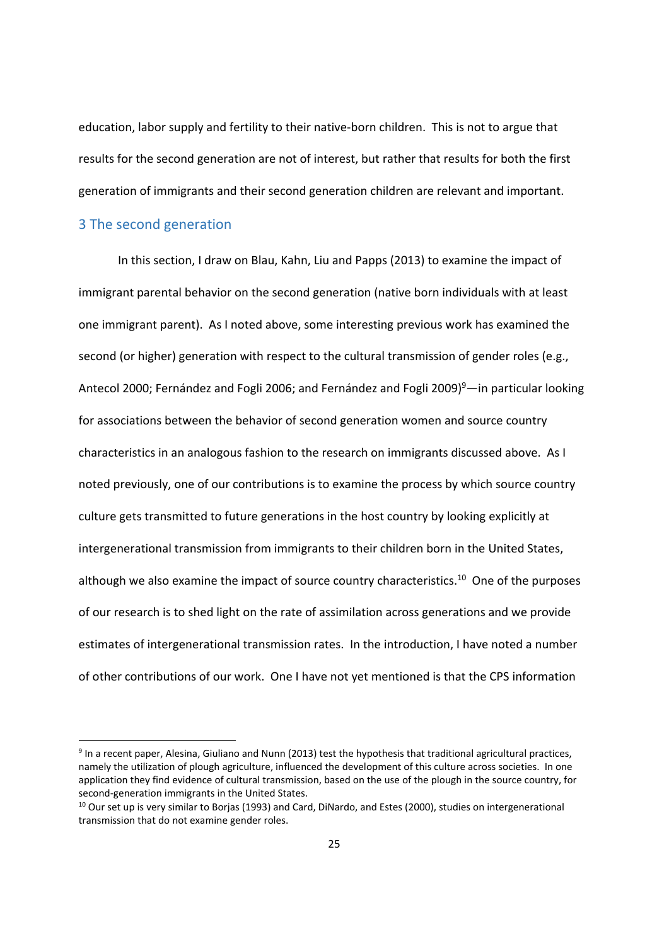education, labor supply and fertility to their native‐born children. This is not to argue that results for the second generation are not of interest, but rather that results for both the first generation of immigrants and their second generation children are relevant and important.

#### 3 The second generation

In this section, I draw on Blau, Kahn, Liu and Papps (2013) to examine the impact of immigrant parental behavior on the second generation (native born individuals with at least one immigrant parent). As I noted above, some interesting previous work has examined the second (or higher) generation with respect to the cultural transmission of gender roles (e.g., Antecol 2000; Fernández and Fogli 2006; and Fernández and Fogli 2009)<sup>9</sup>—in particular looking for associations between the behavior of second generation women and source country characteristics in an analogous fashion to the research on immigrants discussed above. As I noted previously, one of our contributions is to examine the process by which source country culture gets transmitted to future generations in the host country by looking explicitly at intergenerational transmission from immigrants to their children born in the United States, although we also examine the impact of source country characteristics.<sup>10</sup> One of the purposes of our research is to shed light on the rate of assimilation across generations and we provide estimates of intergenerational transmission rates. In the introduction, I have noted a number of other contributions of our work. One I have not yet mentioned is that the CPS information

<sup>9</sup> In a recent paper, Alesina, Giuliano and Nunn (2013) test the hypothesis that traditional agricultural practices, namely the utilization of plough agriculture, influenced the development of this culture across societies. In one application they find evidence of cultural transmission, based on the use of the plough in the source country, for second‐generation immigrants in the United States.

<sup>&</sup>lt;sup>10</sup> Our set up is very similar to Borjas (1993) and Card, DiNardo, and Estes (2000), studies on intergenerational transmission that do not examine gender roles.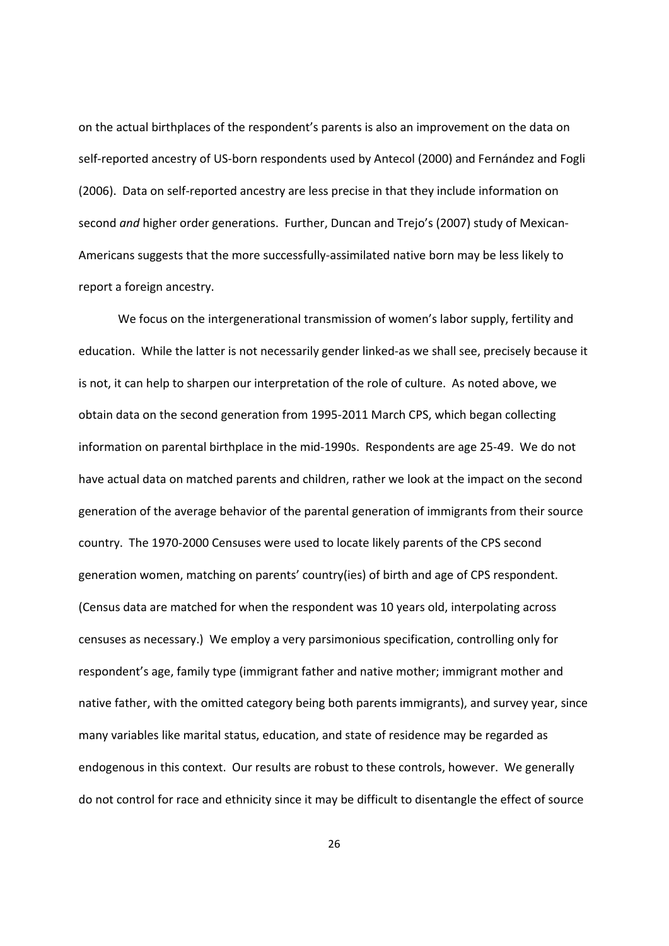on the actual birthplaces of the respondent's parents is also an improvement on the data on self-reported ancestry of US-born respondents used by Antecol (2000) and Fernández and Fogli (2006). Data on self‐reported ancestry are less precise in that they include information on second *and* higher order generations. Further, Duncan and Trejo's (2007) study of Mexican‐ Americans suggests that the more successfully‐assimilated native born may be less likely to report a foreign ancestry.

We focus on the intergenerational transmission of women's labor supply, fertility and education. While the latter is not necessarily gender linked‐as we shall see, precisely because it is not, it can help to sharpen our interpretation of the role of culture. As noted above, we obtain data on the second generation from 1995‐2011 March CPS, which began collecting information on parental birthplace in the mid‐1990s. Respondents are age 25‐49. We do not have actual data on matched parents and children, rather we look at the impact on the second generation of the average behavior of the parental generation of immigrants from their source country. The 1970‐2000 Censuses were used to locate likely parents of the CPS second generation women, matching on parents' country(ies) of birth and age of CPS respondent. (Census data are matched for when the respondent was 10 years old, interpolating across censuses as necessary.) We employ a very parsimonious specification, controlling only for respondent's age, family type (immigrant father and native mother; immigrant mother and native father, with the omitted category being both parents immigrants), and survey year, since many variables like marital status, education, and state of residence may be regarded as endogenous in this context. Our results are robust to these controls, however. We generally do not control for race and ethnicity since it may be difficult to disentangle the effect of source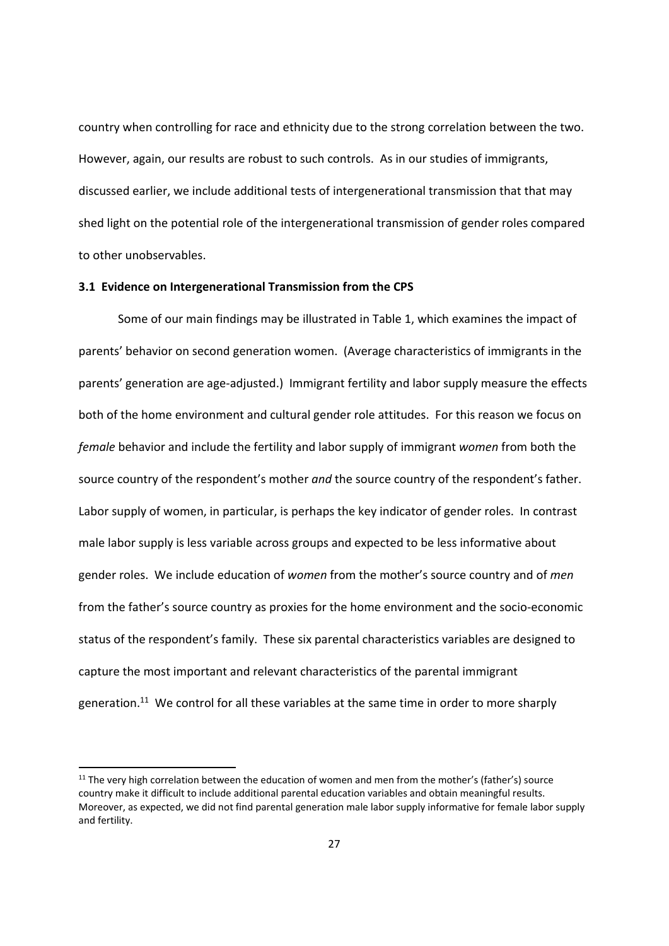country when controlling for race and ethnicity due to the strong correlation between the two. However, again, our results are robust to such controls. As in our studies of immigrants, discussed earlier, we include additional tests of intergenerational transmission that that may shed light on the potential role of the intergenerational transmission of gender roles compared to other unobservables.

#### **3.1 Evidence on Intergenerational Transmission from the CPS**

Some of our main findings may be illustrated in Table 1, which examines the impact of parents' behavior on second generation women. (Average characteristics of immigrants in the parents' generation are age‐adjusted.) Immigrant fertility and labor supply measure the effects both of the home environment and cultural gender role attitudes. For this reason we focus on *female* behavior and include the fertility and labor supply of immigrant *women* from both the source country of the respondent's mother *and* the source country of the respondent's father. Labor supply of women, in particular, is perhaps the key indicator of gender roles. In contrast male labor supply is less variable across groups and expected to be less informative about gender roles. We include education of *women* from the mother's source country and of *men* from the father's source country as proxies for the home environment and the socio‐economic status of the respondent's family. These six parental characteristics variables are designed to capture the most important and relevant characteristics of the parental immigrant generation.11 We control for all these variables at the same time in order to more sharply

 $11$  The very high correlation between the education of women and men from the mother's (father's) source country make it difficult to include additional parental education variables and obtain meaningful results. Moreover, as expected, we did not find parental generation male labor supply informative for female labor supply and fertility.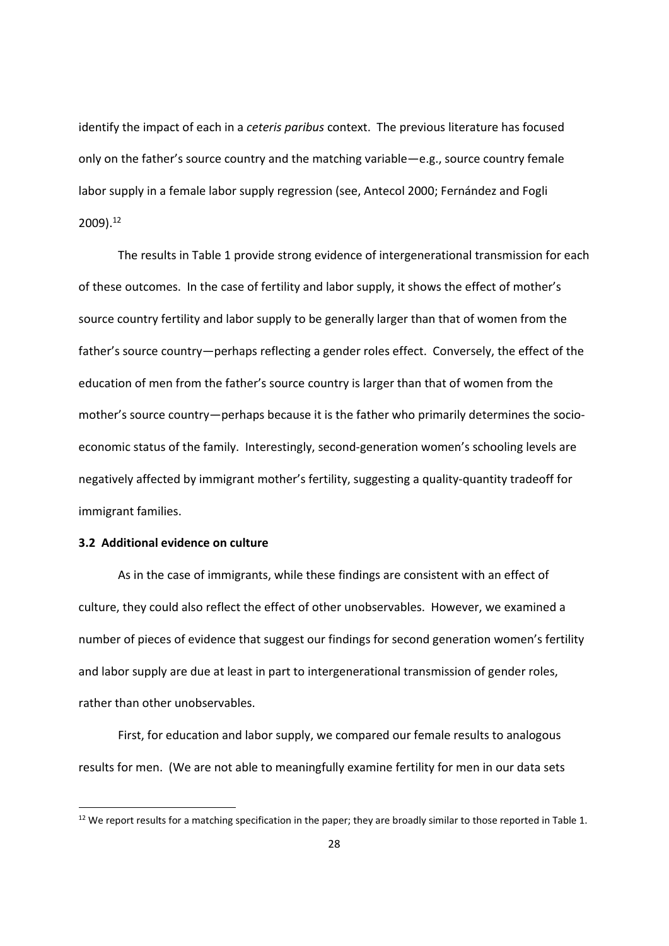identify the impact of each in a *ceteris paribus* context. The previous literature has focused only on the father's source country and the matching variable—e.g., source country female labor supply in a female labor supply regression (see, Antecol 2000; Fernández and Fogli 2009).12

The results in Table 1 provide strong evidence of intergenerational transmission for each of these outcomes. In the case of fertility and labor supply, it shows the effect of mother's source country fertility and labor supply to be generally larger than that of women from the father's source country—perhaps reflecting a gender roles effect. Conversely, the effect of the education of men from the father's source country is larger than that of women from the mother's source country—perhaps because it is the father who primarily determines the socio‐ economic status of the family. Interestingly, second‐generation women's schooling levels are negatively affected by immigrant mother's fertility, suggesting a quality‐quantity tradeoff for immigrant families.

#### **3.2 Additional evidence on culture**

As in the case of immigrants, while these findings are consistent with an effect of culture, they could also reflect the effect of other unobservables. However, we examined a number of pieces of evidence that suggest our findings for second generation women's fertility and labor supply are due at least in part to intergenerational transmission of gender roles, rather than other unobservables.

First, for education and labor supply, we compared our female results to analogous results for men. (We are not able to meaningfully examine fertility for men in our data sets

 $12$  We report results for a matching specification in the paper; they are broadly similar to those reported in Table 1.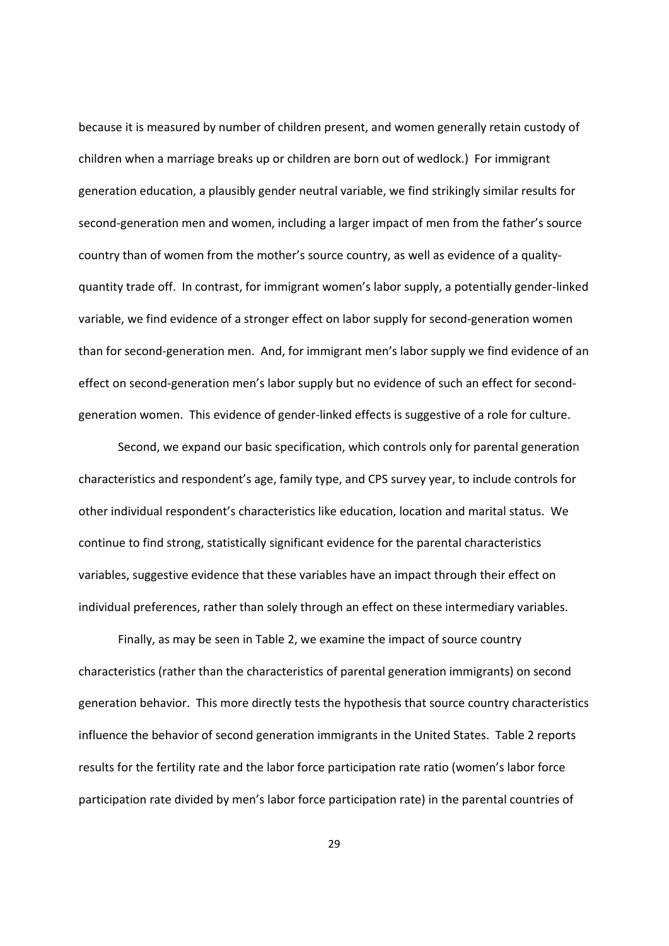because it is measured by number of children present, and women generally retain custody of children when a marriage breaks up or children are born out of wedlock.) For immigrant generation education, a plausibly gender neutral variable, we find strikingly similar results for second‐generation men and women, including a larger impact of men from the father's source country than of women from the mother's source country, as well as evidence of a quality‐ quantity trade off. In contrast, for immigrant women's labor supply, a potentially gender‐linked variable, we find evidence of a stronger effect on labor supply for second‐generation women than for second‐generation men. And, for immigrant men's labor supply we find evidence of an effect on second-generation men's labor supply but no evidence of such an effect for secondgeneration women. This evidence of gender‐linked effects is suggestive of a role for culture.

Second, we expand our basic specification, which controls only for parental generation characteristics and respondent's age, family type, and CPS survey year, to include controls for other individual respondent's characteristics like education, location and marital status. We continue to find strong, statistically significant evidence for the parental characteristics variables, suggestive evidence that these variables have an impact through their effect on individual preferences, rather than solely through an effect on these intermediary variables.

Finally, as may be seen in Table 2, we examine the impact of source country characteristics (rather than the characteristics of parental generation immigrants) on second generation behavior. This more directly tests the hypothesis that source country characteristics influence the behavior of second generation immigrants in the United States. Table 2 reports results for the fertility rate and the labor force participation rate ratio (women's labor force participation rate divided by men's labor force participation rate) in the parental countries of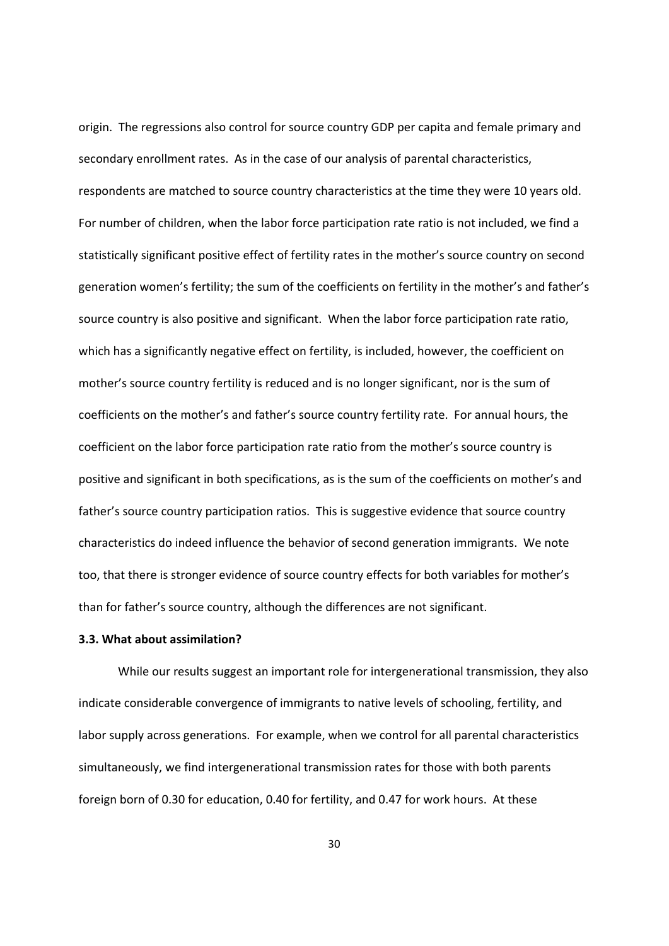origin. The regressions also control for source country GDP per capita and female primary and secondary enrollment rates. As in the case of our analysis of parental characteristics, respondents are matched to source country characteristics at the time they were 10 years old. For number of children, when the labor force participation rate ratio is not included, we find a statistically significant positive effect of fertility rates in the mother's source country on second generation women's fertility; the sum of the coefficients on fertility in the mother's and father's source country is also positive and significant. When the labor force participation rate ratio, which has a significantly negative effect on fertility, is included, however, the coefficient on mother's source country fertility is reduced and is no longer significant, nor is the sum of coefficients on the mother's and father's source country fertility rate. For annual hours, the coefficient on the labor force participation rate ratio from the mother's source country is positive and significant in both specifications, as is the sum of the coefficients on mother's and father's source country participation ratios. This is suggestive evidence that source country characteristics do indeed influence the behavior of second generation immigrants. We note too, that there is stronger evidence of source country effects for both variables for mother's than for father's source country, although the differences are not significant.

#### **3.3. What about assimilation?**

While our results suggest an important role for intergenerational transmission, they also indicate considerable convergence of immigrants to native levels of schooling, fertility, and labor supply across generations. For example, when we control for all parental characteristics simultaneously, we find intergenerational transmission rates for those with both parents foreign born of 0.30 for education, 0.40 for fertility, and 0.47 for work hours. At these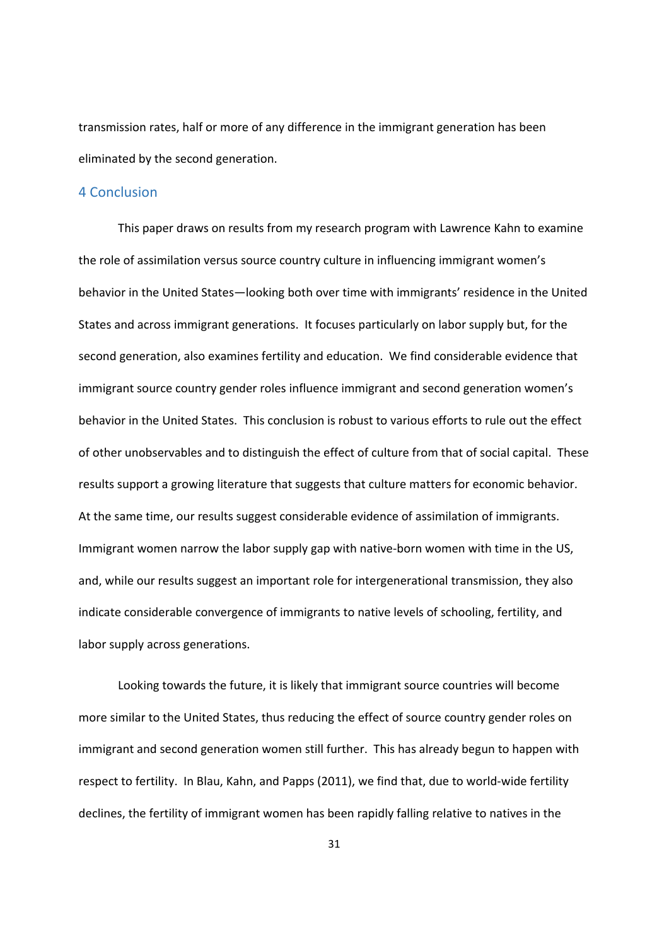transmission rates, half or more of any difference in the immigrant generation has been eliminated by the second generation.

#### 4 Conclusion

This paper draws on results from my research program with Lawrence Kahn to examine the role of assimilation versus source country culture in influencing immigrant women's behavior in the United States—looking both over time with immigrants' residence in the United States and across immigrant generations. It focuses particularly on labor supply but, for the second generation, also examines fertility and education. We find considerable evidence that immigrant source country gender roles influence immigrant and second generation women's behavior in the United States. This conclusion is robust to various efforts to rule out the effect of other unobservables and to distinguish the effect of culture from that of social capital. These results support a growing literature that suggests that culture matters for economic behavior. At the same time, our results suggest considerable evidence of assimilation of immigrants. Immigrant women narrow the labor supply gap with native‐born women with time in the US, and, while our results suggest an important role for intergenerational transmission, they also indicate considerable convergence of immigrants to native levels of schooling, fertility, and labor supply across generations.

Looking towards the future, it is likely that immigrant source countries will become more similar to the United States, thus reducing the effect of source country gender roles on immigrant and second generation women still further. This has already begun to happen with respect to fertility. In Blau, Kahn, and Papps (2011), we find that, due to world‐wide fertility declines, the fertility of immigrant women has been rapidly falling relative to natives in the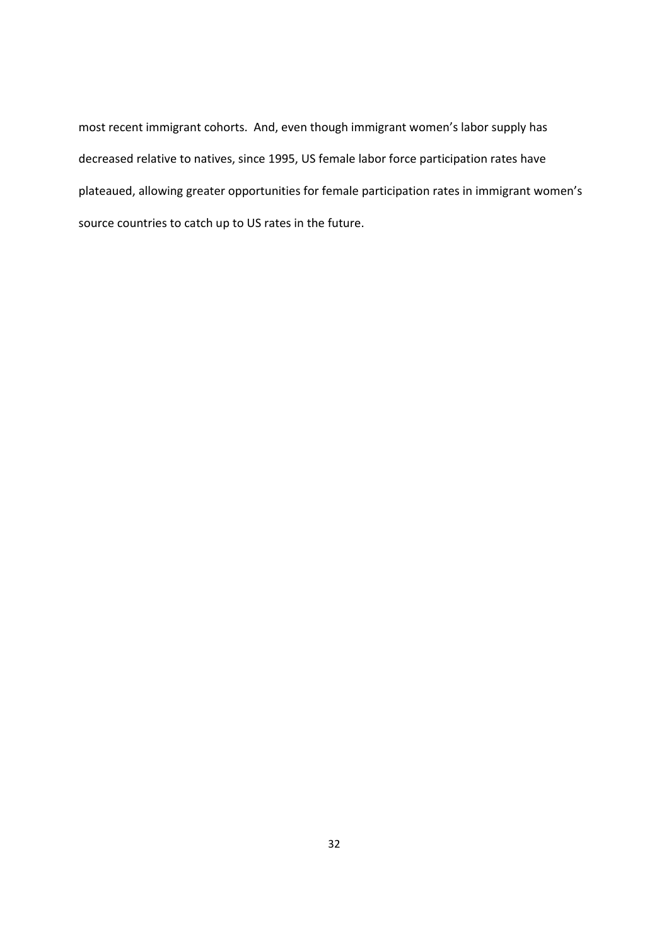most recent immigrant cohorts. And, even though immigrant women's labor supply has decreased relative to natives, since 1995, US female labor force participation rates have plateaued, allowing greater opportunities for female participation rates in immigrant women's source countries to catch up to US rates in the future.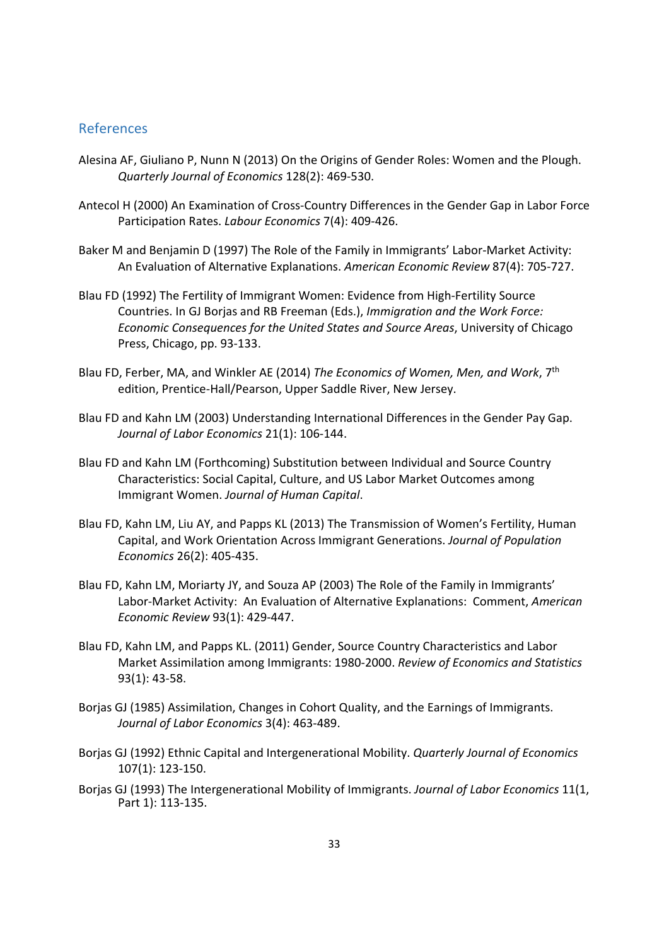#### References

- Alesina AF, Giuliano P, Nunn N (2013) On the Origins of Gender Roles: Women and the Plough. *Quarterly Journal of Economics* 128(2): 469‐530.
- Antecol H (2000) An Examination of Cross‐Country Differences in the Gender Gap in Labor Force Participation Rates. *Labour Economics* 7(4): 409‐426.
- Baker M and Benjamin D (1997) The Role of the Family in Immigrants' Labor-Market Activity: An Evaluation of Alternative Explanations. *American Economic Review* 87(4): 705‐727.
- Blau FD (1992) The Fertility of Immigrant Women: Evidence from High‐Fertility Source Countries. In GJ Borjas and RB Freeman (Eds.), *Immigration and the Work Force: Economic Consequences for the United States and Source Areas*, University of Chicago Press, Chicago, pp. 93‐133.
- Blau FD, Ferber, MA, and Winkler AE (2014) *The Economics of Women, Men, and Work*, 7th edition, Prentice‐Hall/Pearson, Upper Saddle River, New Jersey.
- Blau FD and Kahn LM (2003) Understanding International Differences in the Gender Pay Gap. *Journal of Labor Economics* 21(1): 106‐144.
- Blau FD and Kahn LM (Forthcoming) Substitution between Individual and Source Country Characteristics: Social Capital, Culture, and US Labor Market Outcomes among Immigrant Women. *Journal of Human Capital*.
- Blau FD, Kahn LM, Liu AY, and Papps KL (2013) The Transmission of Women's Fertility, Human Capital, and Work Orientation Across Immigrant Generations. *Journal of Population Economics* 26(2): 405‐435.
- Blau FD, Kahn LM, Moriarty JY, and Souza AP (2003) The Role of the Family in Immigrants' Labor‐Market Activity: An Evaluation of Alternative Explanations: Comment, *American Economic Review* 93(1): 429‐447.
- Blau FD, Kahn LM, and Papps KL. (2011) Gender, Source Country Characteristics and Labor Market Assimilation among Immigrants: 1980‐2000. *Review of Economics and Statistics* 93(1): 43‐58.
- Borjas GJ (1985) Assimilation, Changes in Cohort Quality, and the Earnings of Immigrants. *Journal of Labor Economics* 3(4): 463‐489.
- Borjas GJ (1992) Ethnic Capital and Intergenerational Mobility. *Quarterly Journal of Economics* 107(1): 123‐150.
- Borjas GJ (1993) The Intergenerational Mobility of Immigrants. *Journal of Labor Economics* 11(1, Part 1): 113‐135.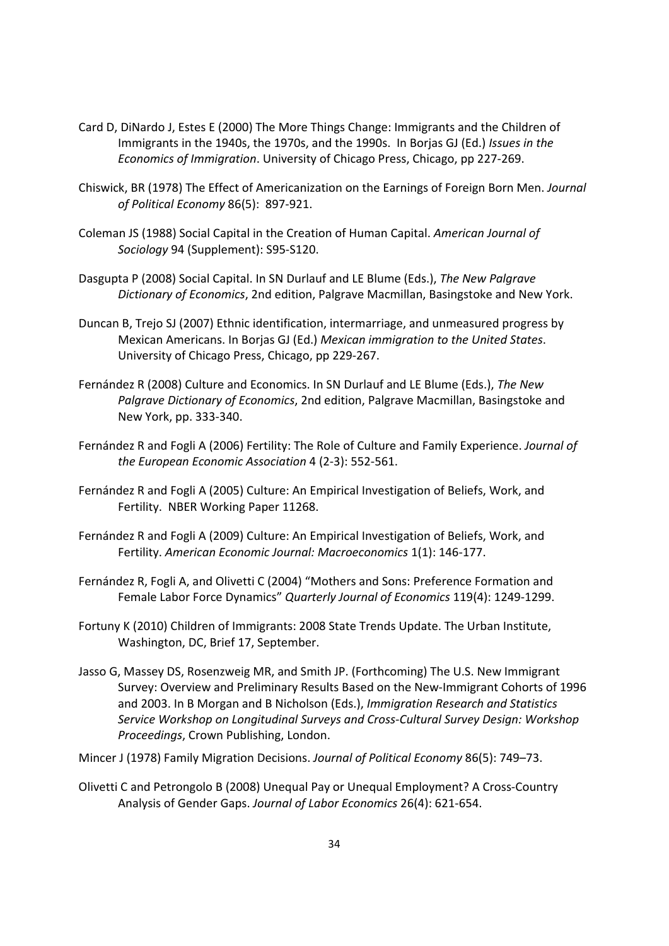- Card D, DiNardo J, Estes E (2000) The More Things Change: Immigrants and the Children of Immigrants in the 1940s, the 1970s, and the 1990s. In Borjas GJ (Ed.) *Issues in the Economics of Immigration*. University of Chicago Press, Chicago, pp 227‐269.
- Chiswick, BR (1978) The Effect of Americanization on the Earnings of Foreign Born Men. *Journal of Political Economy* 86(5): 897‐921.
- Coleman JS (1988) Social Capital in the Creation of Human Capital. *American Journal of Sociology* 94 (Supplement): S95‐S120.
- Dasgupta P (2008) Social Capital. In SN Durlauf and LE Blume (Eds.), *The New Palgrave Dictionary of Economics*, 2nd edition, Palgrave Macmillan, Basingstoke and New York.
- Duncan B, Trejo SJ (2007) Ethnic identification, intermarriage, and unmeasured progress by Mexican Americans. In Borjas GJ (Ed.) *Mexican immigration to the United States*. University of Chicago Press, Chicago, pp 229‐267.
- Fernández R (2008) Culture and Economics. In SN Durlauf and LE Blume (Eds.), *The New Palgrave Dictionary of Economics*, 2nd edition, Palgrave Macmillan, Basingstoke and New York, pp. 333‐340.
- Fernández R and Fogli A (2006) Fertility: The Role of Culture and Family Experience. *Journal of the European Economic Association* 4 (2‐3): 552‐561.
- Fernández R and Fogli A (2005) Culture: An Empirical Investigation of Beliefs, Work, and Fertility. NBER Working Paper 11268.
- Fernández R and Fogli A (2009) Culture: An Empirical Investigation of Beliefs, Work, and Fertility. *American Economic Journal: Macroeconomics* 1(1): 146‐177.
- Fernández R, Fogli A, and Olivetti C (2004) "Mothers and Sons: Preference Formation and Female Labor Force Dynamics" *Quarterly Journal of Economics* 119(4): 1249‐1299.
- Fortuny K (2010) Children of Immigrants: 2008 State Trends Update. The Urban Institute, Washington, DC, Brief 17, September.
- Jasso G, Massey DS, Rosenzweig MR, and Smith JP. (Forthcoming) The U.S. New Immigrant Survey: Overview and Preliminary Results Based on the New‐Immigrant Cohorts of 1996 and 2003. In B Morgan and B Nicholson (Eds.), *Immigration Research and Statistics Service Workshop on Longitudinal Surveys and Cross‐Cultural Survey Design: Workshop Proceedings*, Crown Publishing, London.
- Mincer J (1978) Family Migration Decisions. *Journal of Political Economy* 86(5): 749–73.
- Olivetti C and Petrongolo B (2008) Unequal Pay or Unequal Employment? A Cross‐Country Analysis of Gender Gaps. *Journal of Labor Economics* 26(4): 621‐654.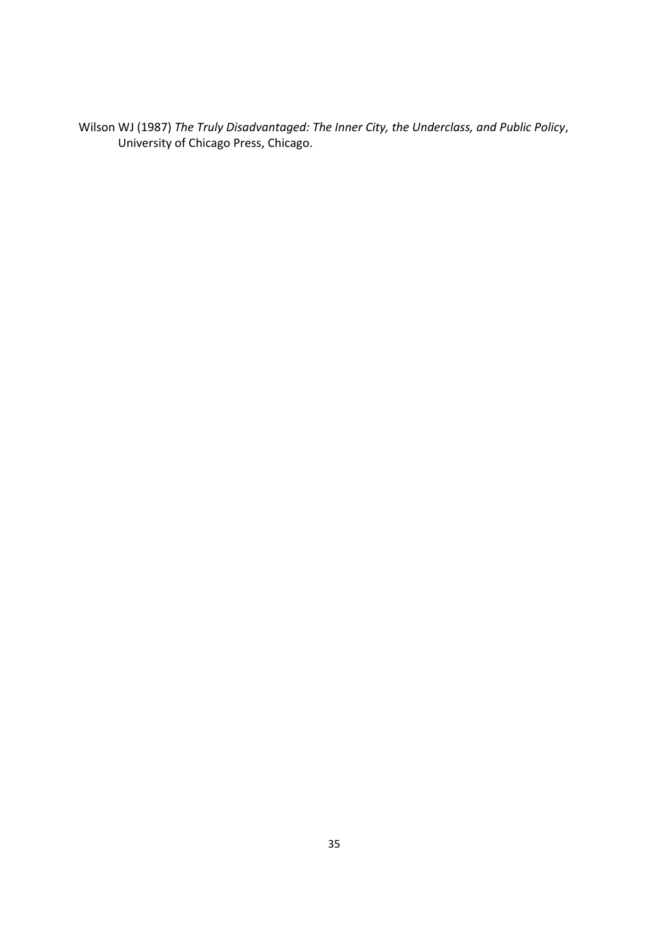Wilson WJ (1987) *The Truly Disadvantaged: The Inner City, the Underclass, and Public Policy*, University of Chicago Press, Chicago.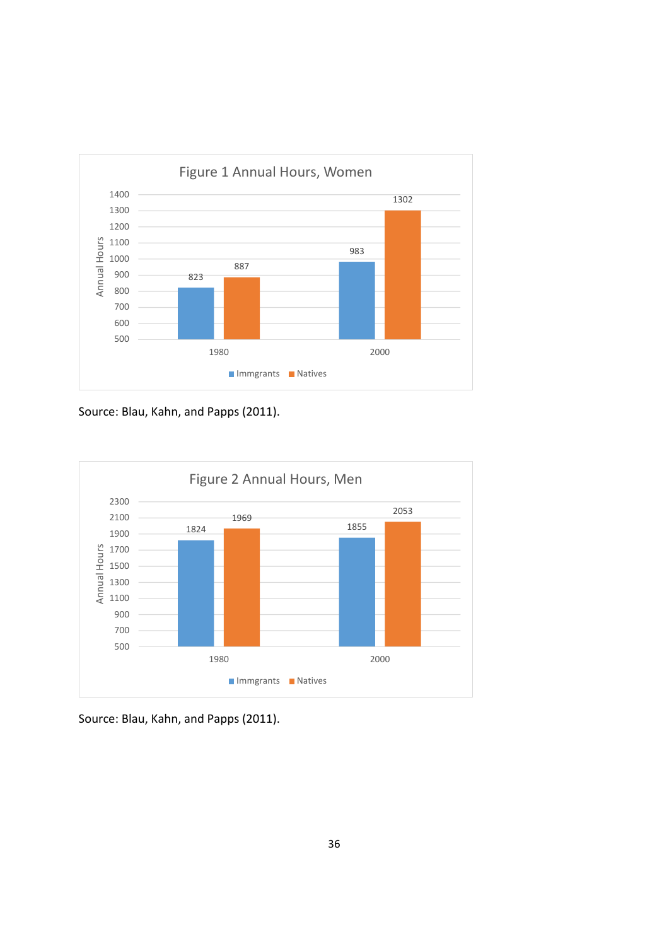

Source: Blau, Kahn, and Papps (2011).



```
Source: Blau, Kahn, and Papps (2011).
```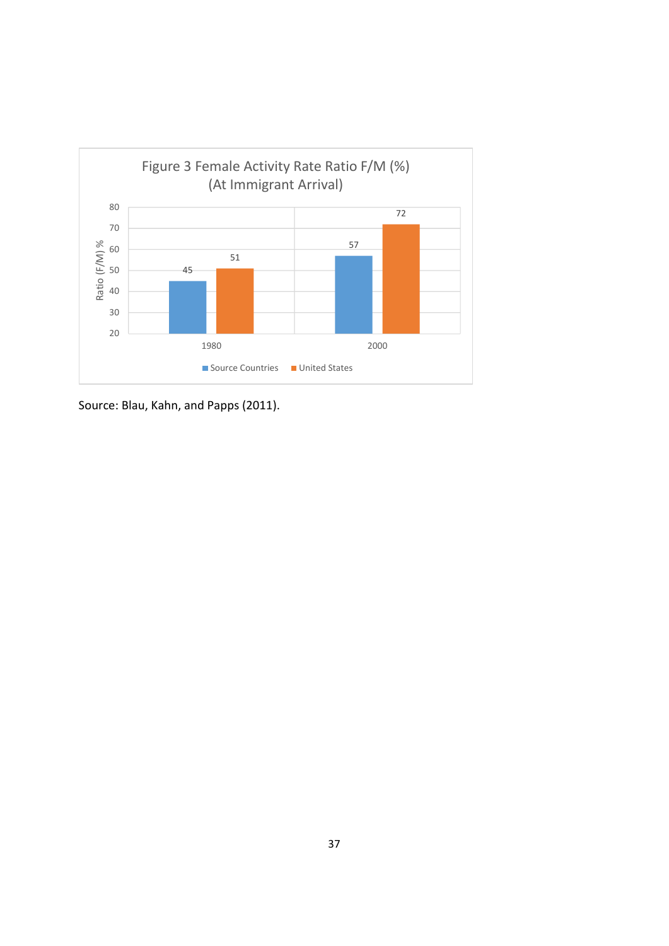

Source: Blau, Kahn, and Papps (2011).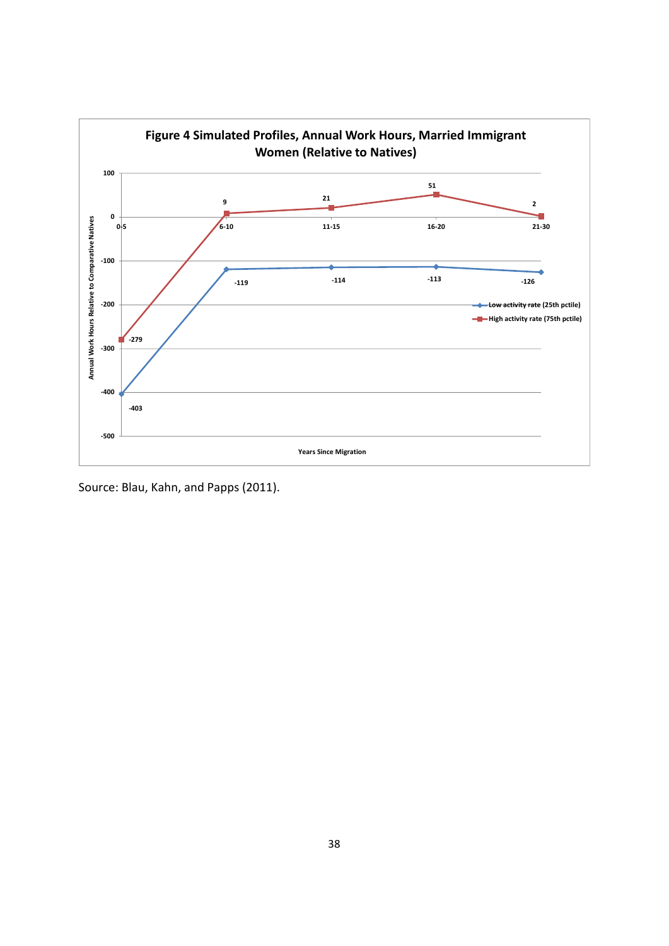

Source: Blau, Kahn, and Papps (2011).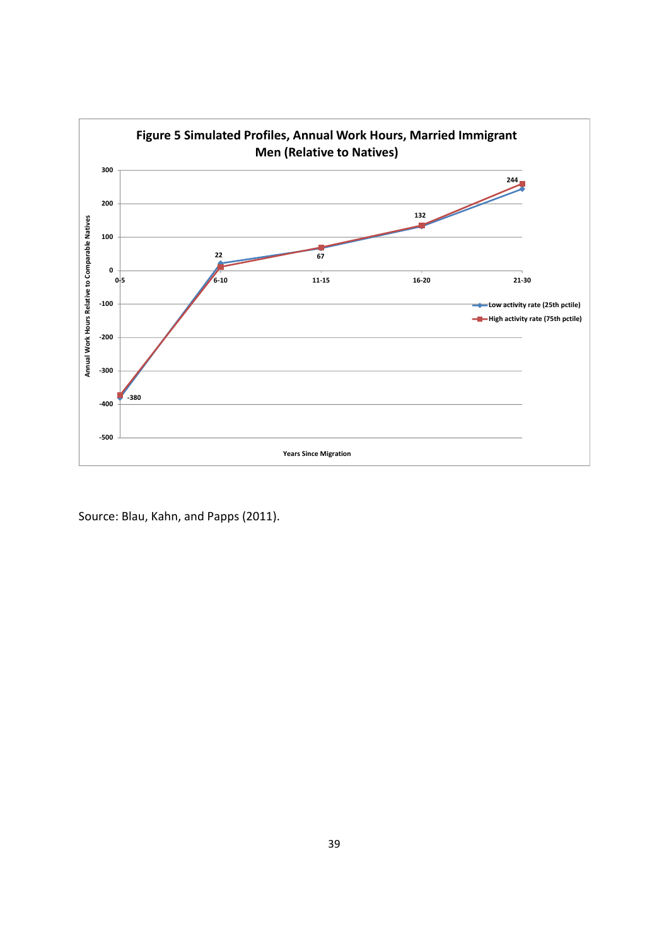

Source: Blau, Kahn, and Papps (2011).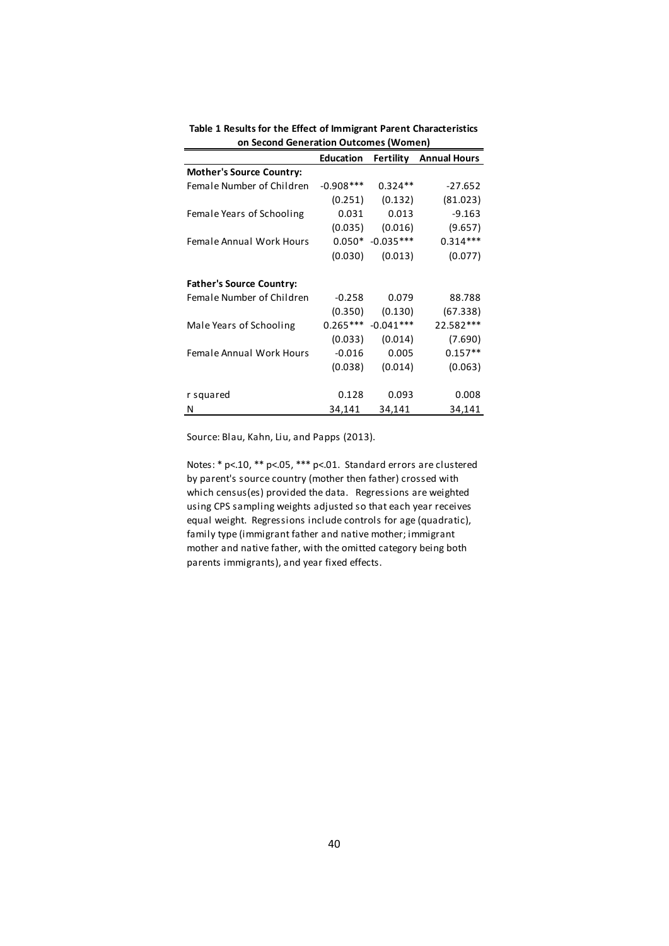|                                 | <b>Education</b> | Fertility   | <b>Annual Hours</b> |
|---------------------------------|------------------|-------------|---------------------|
| <b>Mother's Source Country:</b> |                  |             |                     |
| Female Number of Children       | $-0.908$ ***     | $0.324**$   | $-27.652$           |
|                                 | (0.251)          | (0.132)     | (81.023)            |
| Female Years of Schooling       | 0.031            | 0.013       | $-9.163$            |
|                                 | (0.035)          | (0.016)     | (9.657)             |
| <b>Female Annual Work Hours</b> | $0.050*$         | $-0.035***$ | $0.314***$          |
|                                 | (0.030)          | (0.013)     | (0.077)             |
|                                 |                  |             |                     |
| <b>Father's Source Country:</b> |                  |             |                     |
| Female Number of Children       | $-0.258$         | 0.079       | 88.788              |
|                                 | (0.350)          | (0.130)     | (67.338)            |
| Male Years of Schooling         | $0.265***$       | $-0.041***$ | 22.582***           |
|                                 | (0.033)          | (0.014)     | (7.690)             |
| <b>Female Annual Work Hours</b> | $-0.016$         | 0.005       | $0.157**$           |
|                                 | (0.038)          | (0.014)     | (0.063)             |
|                                 |                  |             |                     |
| r squared                       | 0.128            | 0.093       | 0.008               |
| Ν                               | 34,141           | 34,141      | 34,141              |

**Table 1 Results for the Effect of Immigrant Parent Characteristics on Second Generation Outcomes (Women)**

Source: Blau, Kahn, Liu, and Papps (2013).

Notes: \* p<.10, \*\* p<.05, \*\*\* p<.01. Standard errors are clustered by parent's source country (mother then father) crossed with which census(es) provided the data. Regressions are weighted using CPS sampling weights adjusted so that each year receives equal weight. Regressions include controls for age (quadratic), family type (immigrant father and native mother; immigrant mother and native father, with the omitted category being both parents immigrants), and year fixed effects.